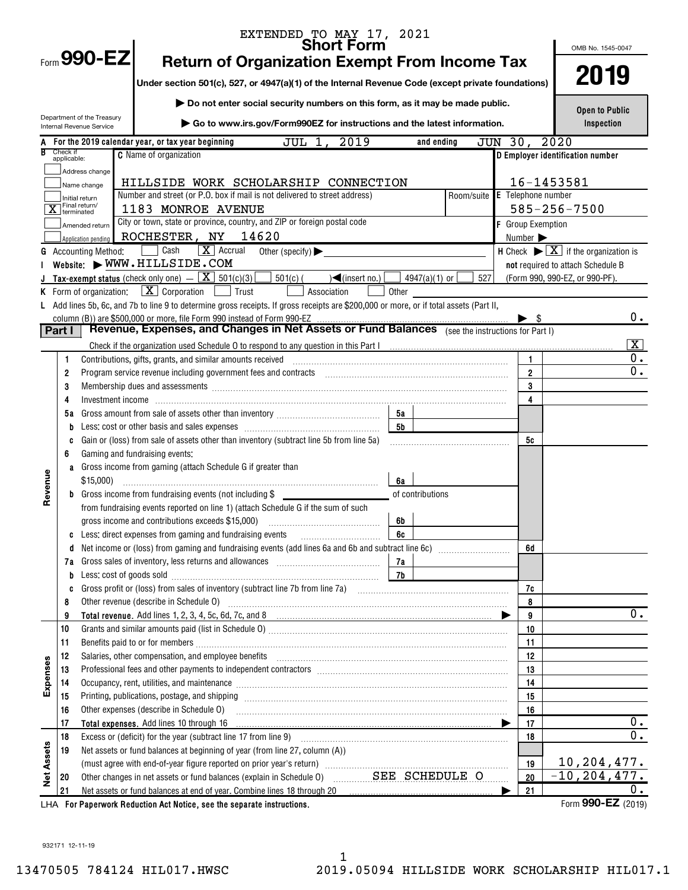|                   |                         |                                                        | EXTENDED TO MAY 17, 2021<br><b>Short Form</b>                                                                                                                                                                                  |           |                  |            |         |                              |                      | OMB No. 1545-0047                                                       |                         |
|-------------------|-------------------------|--------------------------------------------------------|--------------------------------------------------------------------------------------------------------------------------------------------------------------------------------------------------------------------------------|-----------|------------------|------------|---------|------------------------------|----------------------|-------------------------------------------------------------------------|-------------------------|
|                   |                         | Form 990-EZ                                            | <b>Return of Organization Exempt From Income Tax</b>                                                                                                                                                                           |           |                  |            |         |                              |                      |                                                                         |                         |
|                   |                         |                                                        | Under section 501(c), 527, or 4947(a)(1) of the Internal Revenue Code (except private foundations)                                                                                                                             |           |                  |            |         |                              |                      | 2019                                                                    |                         |
|                   |                         |                                                        | Do not enter social security numbers on this form, as it may be made public.                                                                                                                                                   |           |                  |            |         |                              |                      |                                                                         |                         |
|                   |                         | Department of the Treasury<br>Internal Revenue Service | Go to www.irs.gov/Form990EZ for instructions and the latest information.                                                                                                                                                       |           |                  |            |         |                              |                      | <b>Open to Public</b><br>Inspection                                     |                         |
|                   |                         |                                                        | JUL 1, 2019<br>For the 2019 calendar year, or tax year beginning                                                                                                                                                               |           | and ending       |            | JUN 30, |                              | 2020                 |                                                                         |                         |
|                   | Check if<br>applicable: |                                                        | <b>C</b> Name of organization                                                                                                                                                                                                  |           |                  |            |         |                              |                      | D Employer identification number                                        |                         |
|                   |                         | Address change                                         |                                                                                                                                                                                                                                |           |                  |            |         |                              |                      |                                                                         |                         |
|                   |                         | Name change                                            | HILLSIDE WORK SCHOLARSHIP CONNECTION                                                                                                                                                                                           |           |                  |            |         |                              | 16-1453581           |                                                                         |                         |
|                   |                         | Initial return                                         | Number and street (or P.O. box if mail is not delivered to street address)                                                                                                                                                     |           |                  | Room/suite |         |                              | $E$ Telephone number |                                                                         |                         |
|                   |                         | $\overline{\mathbf{X}}$ Final return/                  | 1183 MONROE AVENUE                                                                                                                                                                                                             |           |                  |            |         |                              | $585 - 256 - 7500$   |                                                                         |                         |
|                   |                         | Amended return                                         | City or town, state or province, country, and ZIP or foreign postal code                                                                                                                                                       |           |                  |            |         | F Group Exemption            |                      |                                                                         |                         |
|                   |                         | Application pending                                    | 14620<br>ROCHESTER, NY                                                                                                                                                                                                         |           |                  |            |         | Number $\blacktriangleright$ |                      |                                                                         |                         |
| G                 |                         | <b>Accounting Method:</b>                              | Cash<br>$\boxed{\mathbf{X}}$ Accrual<br>Other (specify) $\blacktriangleright$                                                                                                                                                  |           |                  |            |         |                              |                      | H Check $\blacktriangleright \boxed{\mathbf{X}}$ if the organization is |                         |
|                   |                         |                                                        | Website: WWW.HILLSIDE.COM                                                                                                                                                                                                      |           |                  |            |         |                              |                      | not required to attach Schedule B                                       |                         |
|                   |                         |                                                        | <b>Tax-exempt status</b> (check only one) $ \boxed{\mathbf{X}}$ 501(c)(3)<br>$501(c)$ (<br>$\left($ (insert no.) $\left[$                                                                                                      |           | 4947(a)(1) or    | 527        |         |                              |                      | (Form 990, 990-EZ, or 990-PF).                                          |                         |
|                   |                         |                                                        | <b>K</b> Form of organization: $\boxed{\mathbf{X}}$ Corporation $\boxed{\phantom{a}}$ Trust<br>Association                                                                                                                     | Other     |                  |            |         |                              |                      |                                                                         |                         |
|                   |                         |                                                        | Add lines 5b, 6c, and 7b to line 9 to determine gross receipts. If gross receipts are \$200,000 or more, or if total assets (Part II,                                                                                          |           |                  |            |         |                              |                      |                                                                         | 0.                      |
|                   | Part I                  |                                                        | column (B)) are \$500,000 or more, file Form 990 instead of Form 990-EZ<br>Revenue, Expenses, and Changes in Net Assets or Fund Balances (see the instructions for Part I)                                                     |           |                  |            |         | $\blacktriangleright$ s      |                      |                                                                         |                         |
|                   |                         |                                                        |                                                                                                                                                                                                                                |           |                  |            |         |                              |                      |                                                                         | $\overline{\mathbf{x}}$ |
|                   | 1                       |                                                        | Contributions, gifts, grants, and similar amounts received                                                                                                                                                                     |           |                  |            |         | 1                            |                      |                                                                         | 0.                      |
|                   | 2                       |                                                        |                                                                                                                                                                                                                                |           |                  |            |         | $\overline{2}$               |                      |                                                                         | $\overline{0}$ .        |
|                   | 3                       |                                                        | Membership dues and assessments [1111] Membership and assessments [111] Membership and assessments [111] Membership and assessments [111] Membership and assessments [111] Membership and a state of the state of the state of |           |                  |            |         | 3                            |                      |                                                                         |                         |
|                   | 4                       |                                                        |                                                                                                                                                                                                                                |           |                  |            |         | 4                            |                      |                                                                         |                         |
|                   | 5а                      |                                                        |                                                                                                                                                                                                                                | 5a        |                  |            |         |                              |                      |                                                                         |                         |
|                   | b                       |                                                        |                                                                                                                                                                                                                                | <b>5b</b> |                  |            |         |                              |                      |                                                                         |                         |
|                   | C                       |                                                        | Gain or (loss) from sale of assets other than inventory (subtract line 5b from line 5a)                                                                                                                                        |           |                  |            |         | 5c                           |                      |                                                                         |                         |
|                   | 6                       |                                                        | Gaming and fundraising events:                                                                                                                                                                                                 |           |                  |            |         |                              |                      |                                                                         |                         |
|                   | a                       |                                                        | Gross income from gaming (attach Schedule G if greater than                                                                                                                                                                    |           |                  |            |         |                              |                      |                                                                         |                         |
| Revenue           |                         | \$15,000                                               |                                                                                                                                                                                                                                | 6a        |                  |            |         |                              |                      |                                                                         |                         |
|                   |                         |                                                        | <b>b</b> Gross income from fundraising events (not including $$$                                                                                                                                                               |           | of contributions |            |         |                              |                      |                                                                         |                         |
|                   |                         |                                                        | from fundraising events reported on line 1) (attach Schedule G if the sum of such                                                                                                                                              |           |                  |            |         |                              |                      |                                                                         |                         |
|                   |                         |                                                        | gross income and contributions exceeds \$15,000)                                                                                                                                                                               | 6b        |                  |            |         |                              |                      |                                                                         |                         |
|                   | c                       |                                                        | Less: direct expenses from gaming and fundraising events                                                                                                                                                                       | 6c        |                  |            |         |                              |                      |                                                                         |                         |
|                   | 0                       |                                                        |                                                                                                                                                                                                                                |           |                  |            |         | 6d                           |                      |                                                                         |                         |
|                   | 7a                      |                                                        |                                                                                                                                                                                                                                | 7a        |                  |            |         |                              |                      |                                                                         |                         |
|                   | b                       | Less: cost of goods sold                               |                                                                                                                                                                                                                                | 7b        |                  |            |         |                              |                      |                                                                         |                         |
|                   | C                       |                                                        |                                                                                                                                                                                                                                |           |                  |            |         | 7c                           |                      |                                                                         |                         |
|                   | 8                       |                                                        | Other revenue (describe in Schedule O)                                                                                                                                                                                         |           |                  |            |         | 8                            |                      |                                                                         | $\overline{0}$ .        |
|                   | 9                       |                                                        |                                                                                                                                                                                                                                |           |                  |            |         | 9                            |                      |                                                                         |                         |
|                   | 10<br>11                |                                                        |                                                                                                                                                                                                                                |           |                  |            |         | 10<br>11                     |                      |                                                                         |                         |
|                   | 12                      |                                                        | Salaries, other compensation, and employee benefits [11] manufactures in the content of the compensation, and employee benefits [11] manufactures in the compensation and the competition of the competition of the competitio |           |                  |            |         | 12                           |                      |                                                                         |                         |
|                   | 13                      |                                                        |                                                                                                                                                                                                                                |           |                  |            |         | 13                           |                      |                                                                         |                         |
| Expenses          | 14                      |                                                        | Occupancy, rent, utilities, and maintenance manufactured and accuracy of the manufactured and manufactured and                                                                                                                 |           |                  |            |         | 14                           |                      |                                                                         |                         |
|                   | 15                      |                                                        |                                                                                                                                                                                                                                |           |                  |            |         | 15                           |                      |                                                                         |                         |
|                   | 16                      |                                                        | Other expenses (describe in Schedule O)                                                                                                                                                                                        |           |                  |            |         | 16                           |                      |                                                                         |                         |
|                   | 17                      |                                                        |                                                                                                                                                                                                                                |           |                  |            |         | 17                           |                      |                                                                         | 0.                      |
|                   | 18                      |                                                        |                                                                                                                                                                                                                                |           |                  |            |         | 18                           |                      |                                                                         | 0.                      |
| <b>Net Assets</b> | 19                      |                                                        | Net assets or fund balances at beginning of year (from line 27, column (A))                                                                                                                                                    |           |                  |            |         |                              |                      |                                                                         |                         |
|                   |                         |                                                        |                                                                                                                                                                                                                                |           |                  |            |         | 19                           |                      | 10,204,477.                                                             |                         |
|                   | 20                      |                                                        | Other changes in net assets or fund balances (explain in Schedule 0) SEE SCHEDULE O                                                                                                                                            |           |                  |            |         | 20                           |                      | $-10, 204, 477.$                                                        |                         |
|                   | 21                      |                                                        | Net assets or fund balances at end of year. Combine lines 18 through 20                                                                                                                                                        |           |                  |            |         | 21                           |                      |                                                                         | 0.                      |
|                   |                         |                                                        | LHA For Paperwork Reduction Act Notice, see the separate instructions.                                                                                                                                                         |           |                  |            |         |                              |                      | Form 990-EZ (2019)                                                      |                         |

932171 12-11-19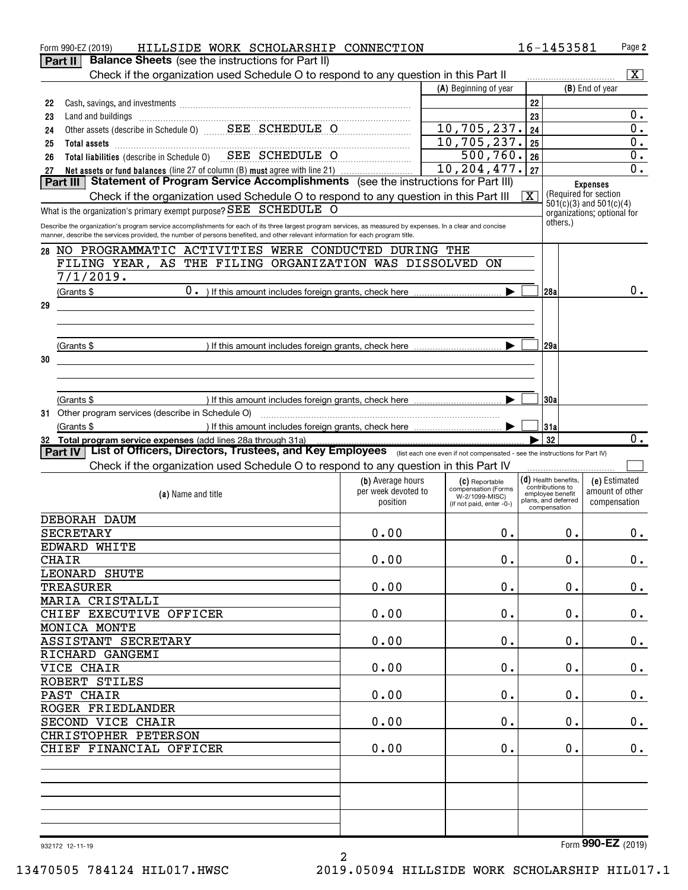| Form 990-EZ (2019)                                 | HILLSIDE WORK SCHOLARSHIP CONNECTION                                                                                                                                                                                                                                                           |                                 |                                            |                         | 16-1453581                                 | Page 2                                   |
|----------------------------------------------------|------------------------------------------------------------------------------------------------------------------------------------------------------------------------------------------------------------------------------------------------------------------------------------------------|---------------------------------|--------------------------------------------|-------------------------|--------------------------------------------|------------------------------------------|
| Part II                                            | <b>Balance Sheets</b> (see the instructions for Part II)                                                                                                                                                                                                                                       |                                 |                                            |                         |                                            |                                          |
|                                                    | Check if the organization used Schedule O to respond to any question in this Part II                                                                                                                                                                                                           |                                 |                                            |                         |                                            | $\overline{\mathbf{X}}$                  |
|                                                    |                                                                                                                                                                                                                                                                                                |                                 | (A) Beginning of year                      |                         |                                            | (B) End of year                          |
| 22                                                 |                                                                                                                                                                                                                                                                                                |                                 |                                            | 22                      |                                            |                                          |
| 23                                                 |                                                                                                                                                                                                                                                                                                |                                 |                                            | 23                      |                                            | $0$ .                                    |
| 24                                                 |                                                                                                                                                                                                                                                                                                |                                 | 10,705,237.                                | 24                      |                                            | 0.                                       |
| 25                                                 |                                                                                                                                                                                                                                                                                                |                                 | 10, 705, 237.                              | 25                      |                                            | 0.                                       |
| 26                                                 | Total liabilities (describe in Schedule 0) SEE SCHEDULE O                                                                                                                                                                                                                                      |                                 | $500, 760.$ 26                             |                         |                                            | 0.                                       |
| 27                                                 | Net assets or fund balances (line 27 of column (B) must agree with line 21)<br>Part III   Statement of Program Service Accomplishments (see the instructions for Part III)                                                                                                                     |                                 | $\overline{10, 204, 477.}$                 | 27                      |                                            | 0.                                       |
|                                                    |                                                                                                                                                                                                                                                                                                |                                 |                                            |                         |                                            | <b>Expenses</b><br>(Required for section |
|                                                    | Check if the organization used Schedule O to respond to any question in this Part III                                                                                                                                                                                                          |                                 |                                            | $\overline{\mathbf{X}}$ |                                            | $501(c)(3)$ and $501(c)(4)$              |
|                                                    | What is the organization's primary exempt purpose? SEE SCHEDULE O                                                                                                                                                                                                                              |                                 |                                            |                         |                                            | organizations; optional for              |
|                                                    | Describe the organization's program service accomplishments for each of its three largest program services, as measured by expenses. In a clear and concise<br>manner, describe the services provided, the number of persons benefited, and other relevant information for each program title. |                                 |                                            |                         | others.)                                   |                                          |
|                                                    |                                                                                                                                                                                                                                                                                                |                                 |                                            |                         |                                            |                                          |
|                                                    | 28 NO PROGRAMMATIC ACTIVITIES WERE CONDUCTED DURING THE                                                                                                                                                                                                                                        |                                 |                                            |                         |                                            |                                          |
| 7/1/2019.                                          | FILING YEAR, AS THE FILING ORGANIZATION WAS DISSOLVED                                                                                                                                                                                                                                          |                                 | ON                                         |                         |                                            |                                          |
|                                                    |                                                                                                                                                                                                                                                                                                |                                 |                                            |                         |                                            |                                          |
| (Grants \$                                         |                                                                                                                                                                                                                                                                                                |                                 |                                            |                         | 128a                                       | $0$ .                                    |
| 29                                                 |                                                                                                                                                                                                                                                                                                |                                 |                                            |                         |                                            |                                          |
|                                                    |                                                                                                                                                                                                                                                                                                |                                 |                                            |                         |                                            |                                          |
|                                                    |                                                                                                                                                                                                                                                                                                |                                 |                                            |                         |                                            |                                          |
| (Grants \$                                         |                                                                                                                                                                                                                                                                                                |                                 |                                            |                         | 129a                                       |                                          |
| 30                                                 |                                                                                                                                                                                                                                                                                                |                                 |                                            |                         |                                            |                                          |
|                                                    |                                                                                                                                                                                                                                                                                                |                                 |                                            |                         |                                            |                                          |
|                                                    |                                                                                                                                                                                                                                                                                                |                                 |                                            |                         |                                            |                                          |
| (Grants \$                                         |                                                                                                                                                                                                                                                                                                |                                 |                                            |                         | 30a                                        |                                          |
| 31 Other program services (describe in Schedule O) |                                                                                                                                                                                                                                                                                                |                                 |                                            |                         |                                            |                                          |
| (Grants \$                                         |                                                                                                                                                                                                                                                                                                |                                 |                                            |                         | 31a                                        | $\overline{0}$ .                         |
|                                                    |                                                                                                                                                                                                                                                                                                |                                 |                                            |                         |                                            |                                          |
|                                                    | 32 Total program service expenses (add lines 28a through 31a)                                                                                                                                                                                                                                  |                                 |                                            |                         | 32                                         |                                          |
|                                                    | Part IV   List of Officers, Directors, Trustees, and Key Employees (Iist each one even if not compensated - see the instructions for Part IV)                                                                                                                                                  |                                 |                                            |                         |                                            |                                          |
|                                                    | Check if the organization used Schedule O to respond to any question in this Part IV                                                                                                                                                                                                           |                                 |                                            |                         |                                            |                                          |
|                                                    |                                                                                                                                                                                                                                                                                                | (b) Average hours               | (C) Reportable<br>compensation (Forms      |                         | $(d)$ Health benefits,<br>contributions to | (e) Estimated                            |
|                                                    | (a) Name and title                                                                                                                                                                                                                                                                             | per week devoted to<br>position | W-2/1099-MISC)<br>(if not paid, enter -0-) |                         | employee benefit<br>plans, and deferred    | amount of other<br>compensation          |
|                                                    |                                                                                                                                                                                                                                                                                                |                                 |                                            |                         | compensation                               |                                          |
| DEBORAH DAUM                                       |                                                                                                                                                                                                                                                                                                |                                 |                                            |                         |                                            |                                          |
| <b>SECRETARY</b>                                   |                                                                                                                                                                                                                                                                                                | 0.00                            | $0$ .                                      |                         | 0.                                         | 0.                                       |
| EDWARD WHITE                                       |                                                                                                                                                                                                                                                                                                |                                 |                                            |                         |                                            |                                          |
| <b>CHAIR</b>                                       |                                                                                                                                                                                                                                                                                                | 0.00                            | $0$ .                                      |                         | 0.                                         |                                          |
| LEONARD SHUTE                                      |                                                                                                                                                                                                                                                                                                |                                 |                                            |                         |                                            |                                          |
| <b>TREASURER</b>                                   |                                                                                                                                                                                                                                                                                                | 0.00                            | 0.                                         |                         | 0.                                         | $\mathbf 0$ .                            |
| MARIA CRISTALLI                                    |                                                                                                                                                                                                                                                                                                |                                 |                                            |                         |                                            |                                          |
| CHIEF EXECUTIVE OFFICER                            |                                                                                                                                                                                                                                                                                                | 0.00                            | 0.                                         |                         | 0.                                         | $\mathbf 0$ .                            |
| MONICA MONTE                                       |                                                                                                                                                                                                                                                                                                |                                 |                                            |                         |                                            |                                          |
| ASSISTANT SECRETARY                                |                                                                                                                                                                                                                                                                                                | 0.00                            | 0.                                         |                         | 0.                                         | $\mathbf 0$ .                            |
| RICHARD GANGEMI                                    |                                                                                                                                                                                                                                                                                                |                                 |                                            |                         |                                            |                                          |
| VICE CHAIR                                         |                                                                                                                                                                                                                                                                                                | 0.00                            | 0.                                         |                         | 0.                                         | $\mathbf 0$ .                            |
| ROBERT STILES                                      |                                                                                                                                                                                                                                                                                                |                                 |                                            |                         |                                            |                                          |
| PAST CHAIR                                         |                                                                                                                                                                                                                                                                                                | 0.00                            | 0.                                         |                         | 0.                                         | $\mathbf 0$ .                            |
| ROGER FRIEDLANDER                                  |                                                                                                                                                                                                                                                                                                |                                 |                                            |                         |                                            |                                          |
| SECOND VICE CHAIR                                  |                                                                                                                                                                                                                                                                                                | 0.00                            | 0.                                         |                         | 0.                                         | $\mathbf 0$ .                            |
| CHRISTOPHER PETERSON                               |                                                                                                                                                                                                                                                                                                |                                 |                                            |                         |                                            |                                          |
| CHIEF FINANCIAL OFFICER                            |                                                                                                                                                                                                                                                                                                | 0.00                            | 0.                                         |                         | $\mathbf 0$ .                              | $\mathbf 0$ .                            |
|                                                    |                                                                                                                                                                                                                                                                                                |                                 |                                            |                         |                                            | $0_{.}$                                  |
|                                                    |                                                                                                                                                                                                                                                                                                |                                 |                                            |                         |                                            |                                          |
|                                                    |                                                                                                                                                                                                                                                                                                |                                 |                                            |                         |                                            |                                          |
|                                                    |                                                                                                                                                                                                                                                                                                |                                 |                                            |                         |                                            |                                          |
|                                                    |                                                                                                                                                                                                                                                                                                |                                 |                                            |                         |                                            |                                          |
|                                                    |                                                                                                                                                                                                                                                                                                |                                 |                                            |                         |                                            | Form 990-EZ (2019)                       |

2

13470505 784124 HIL017.HWSC 2019.05094 HILLSIDE WORK SCHOLARSHIP HIL017.1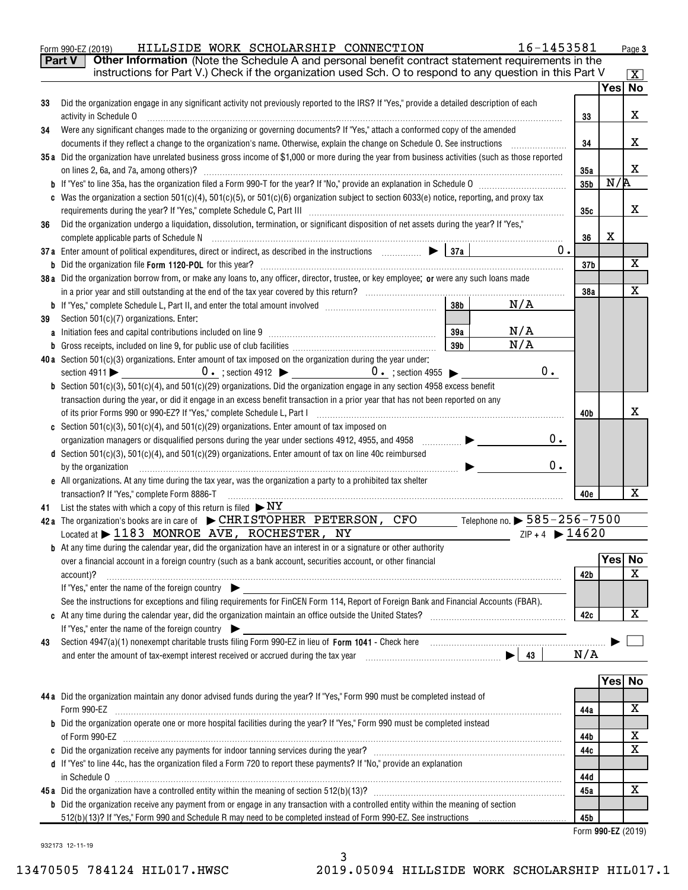|    | Part V<br>Other Information (Note the Schedule A and personal benefit contract statement requirements in the<br>instructions for Part V.) Check if the organization used Sch. O to respond to any question in this Part V                                                                                                                                                                                                                                      |                    |        |                         |
|----|----------------------------------------------------------------------------------------------------------------------------------------------------------------------------------------------------------------------------------------------------------------------------------------------------------------------------------------------------------------------------------------------------------------------------------------------------------------|--------------------|--------|-------------------------|
|    |                                                                                                                                                                                                                                                                                                                                                                                                                                                                |                    |        | $\mathbf{X}$<br>Yes  No |
| 33 | Did the organization engage in any significant activity not previously reported to the IRS? If "Yes," provide a detailed description of each                                                                                                                                                                                                                                                                                                                   |                    |        |                         |
|    | activity in Schedule O                                                                                                                                                                                                                                                                                                                                                                                                                                         | 33                 |        | х                       |
| 34 | Were any significant changes made to the organizing or governing documents? If "Yes," attach a conformed copy of the amended                                                                                                                                                                                                                                                                                                                                   |                    |        |                         |
|    | documents if they reflect a change to the organization's name. Otherwise, explain the change on Schedule O. See instructions                                                                                                                                                                                                                                                                                                                                   | 34                 |        | x                       |
|    | 35a Did the organization have unrelated business gross income of \$1,000 or more during the year from business activities (such as those reported                                                                                                                                                                                                                                                                                                              |                    |        |                         |
|    |                                                                                                                                                                                                                                                                                                                                                                                                                                                                | 35a                |        | X                       |
|    |                                                                                                                                                                                                                                                                                                                                                                                                                                                                | 35b                | N/R    |                         |
|    | c Was the organization a section 501(c)(4), 501(c)(5), or 501(c)(6) organization subject to section 6033(e) notice, reporting, and proxy tax                                                                                                                                                                                                                                                                                                                   |                    |        |                         |
|    |                                                                                                                                                                                                                                                                                                                                                                                                                                                                | 35с                |        | x                       |
| 36 | Did the organization undergo a liquidation, dissolution, termination, or significant disposition of net assets during the year? If "Yes,"                                                                                                                                                                                                                                                                                                                      |                    |        |                         |
|    |                                                                                                                                                                                                                                                                                                                                                                                                                                                                | 36                 | X      |                         |
|    | 0.<br>37a Enter amount of political expenditures, direct or indirect, as described in the instructions $\Box$                                                                                                                                                                                                                                                                                                                                                  |                    |        |                         |
|    |                                                                                                                                                                                                                                                                                                                                                                                                                                                                | 37b                |        | х                       |
|    | 38a Did the organization borrow from, or make any loans to, any officer, director, trustee, or key employee; or were any such loans made                                                                                                                                                                                                                                                                                                                       |                    |        |                         |
|    |                                                                                                                                                                                                                                                                                                                                                                                                                                                                | 38a                |        | Χ                       |
|    | N/A<br>38 <sub>b</sub>                                                                                                                                                                                                                                                                                                                                                                                                                                         |                    |        |                         |
| 39 | Section 501(c)(7) organizations. Enter:                                                                                                                                                                                                                                                                                                                                                                                                                        |                    |        |                         |
|    | N/A<br>39a<br>N/A                                                                                                                                                                                                                                                                                                                                                                                                                                              |                    |        |                         |
| b  | 39 <sub>b</sub>                                                                                                                                                                                                                                                                                                                                                                                                                                                |                    |        |                         |
|    | 40a Section $501(c)(3)$ organizations. Enter amount of tax imposed on the organization during the year under:<br>$0$ .                                                                                                                                                                                                                                                                                                                                         |                    |        |                         |
|    | <b>b</b> Section 501(c)(3), 501(c)(4), and 501(c)(29) organizations. Did the organization engage in any section 4958 excess benefit                                                                                                                                                                                                                                                                                                                            |                    |        |                         |
|    | transaction during the year, or did it engage in an excess benefit transaction in a prior year that has not been reported on any                                                                                                                                                                                                                                                                                                                               |                    |        |                         |
|    |                                                                                                                                                                                                                                                                                                                                                                                                                                                                | 40b                |        | x                       |
|    | c Section 501(c)(3), 501(c)(4), and 501(c)(29) organizations. Enter amount of tax imposed on                                                                                                                                                                                                                                                                                                                                                                   |                    |        |                         |
|    | 0.<br>$\begin{picture}(20,20) \put(0,0){\line(1,0){10}} \put(10,0){\line(1,0){10}} \put(10,0){\line(1,0){10}} \put(10,0){\line(1,0){10}} \put(10,0){\line(1,0){10}} \put(10,0){\line(1,0){10}} \put(10,0){\line(1,0){10}} \put(10,0){\line(1,0){10}} \put(10,0){\line(1,0){10}} \put(10,0){\line(1,0){10}} \put(10,0){\line(1,0){10}} \put(10,0){\line(1$<br>organization managers or disqualified persons during the year under sections 4912, 4955, and 4958 |                    |        |                         |
|    | d Section 501(c)(3), 501(c)(4), and 501(c)(29) organizations. Enter amount of tax on line 40c reimbursed                                                                                                                                                                                                                                                                                                                                                       |                    |        |                         |
|    | 0.<br>by the organization                                                                                                                                                                                                                                                                                                                                                                                                                                      |                    |        |                         |
|    | e All organizations. At any time during the tax year, was the organization a party to a prohibited tax shelter                                                                                                                                                                                                                                                                                                                                                 |                    |        |                         |
|    | transaction? If "Yes," complete Form 8886-T                                                                                                                                                                                                                                                                                                                                                                                                                    | 40e                |        | х                       |
| 41 | List the states with which a copy of this return is filed $\triangleright$ NY                                                                                                                                                                                                                                                                                                                                                                                  |                    |        |                         |
|    | 42a The organization's books are in care of $\blacktriangleright$ CHRISTOPHER PETERSON, CFO<br>Telephone no. $\blacktriangleright$ $585$ – $256$ – $7500$                                                                                                                                                                                                                                                                                                      |                    |        |                         |
|    | $ZIP + 4$ $\triangleright$ 14620<br>Located at > 1183 MONROE AVE, ROCHESTER, NY                                                                                                                                                                                                                                                                                                                                                                                |                    |        |                         |
|    | <b>b</b> At any time during the calendar year, did the organization have an interest in or a signature or other authority                                                                                                                                                                                                                                                                                                                                      |                    |        |                         |
|    | over a financial account in a foreign country (such as a bank account, securities account, or other financial                                                                                                                                                                                                                                                                                                                                                  |                    | Yes No |                         |
|    | account)?                                                                                                                                                                                                                                                                                                                                                                                                                                                      | 42b                |        | X                       |
|    | If "Yes," enter the name of the foreign country                                                                                                                                                                                                                                                                                                                                                                                                                |                    |        |                         |
|    | See the instructions for exceptions and filing requirements for FinCEN Form 114, Report of Foreign Bank and Financial Accounts (FBAR).                                                                                                                                                                                                                                                                                                                         |                    |        |                         |
|    |                                                                                                                                                                                                                                                                                                                                                                                                                                                                | 42c                |        | Χ                       |
|    | If "Yes," enter the name of the foreign country                                                                                                                                                                                                                                                                                                                                                                                                                |                    |        |                         |
| 43 |                                                                                                                                                                                                                                                                                                                                                                                                                                                                |                    |        |                         |
|    |                                                                                                                                                                                                                                                                                                                                                                                                                                                                | N/A                |        |                         |
|    |                                                                                                                                                                                                                                                                                                                                                                                                                                                                |                    |        |                         |
|    |                                                                                                                                                                                                                                                                                                                                                                                                                                                                |                    | Yes No |                         |
|    | 44a Did the organization maintain any donor advised funds during the year? If "Yes," Form 990 must be completed instead of                                                                                                                                                                                                                                                                                                                                     |                    |        |                         |
|    | Form 990-EZ                                                                                                                                                                                                                                                                                                                                                                                                                                                    | 44a                |        | x                       |
|    | <b>b</b> Did the organization operate one or more hospital facilities during the year? If "Yes," Form 990 must be completed instead                                                                                                                                                                                                                                                                                                                            |                    |        |                         |
|    |                                                                                                                                                                                                                                                                                                                                                                                                                                                                | 44b                |        | х                       |
|    |                                                                                                                                                                                                                                                                                                                                                                                                                                                                | 44c                |        | х                       |
|    | d If "Yes" to line 44c, has the organization filed a Form 720 to report these payments? If "No," provide an explanation                                                                                                                                                                                                                                                                                                                                        |                    |        |                         |
|    | $\qquad \qquad \text{in Schedule } 0 \qquad \qquad \\$                                                                                                                                                                                                                                                                                                                                                                                                         | 44d                |        |                         |
|    |                                                                                                                                                                                                                                                                                                                                                                                                                                                                | 45a                |        | x                       |
|    | <b>b</b> Did the organization receive any payment from or engage in any transaction with a controlled entity within the meaning of section                                                                                                                                                                                                                                                                                                                     |                    |        |                         |
|    | 512(b)(13)? If "Yes," Form 990 and Schedule R may need to be completed instead of Form 990-EZ. See instructions                                                                                                                                                                                                                                                                                                                                                | 45b                |        |                         |
|    |                                                                                                                                                                                                                                                                                                                                                                                                                                                                | Form 990-EZ (2019) |        |                         |

Form 990-EZ (2019) BILLSIDE WORK SCHOLARSHIP CONNECTION 16-1453581 Page

932173 12-11-19

3 13470505 784124 HIL017.HWSC 2019.05094 HILLSIDE WORK SCHOLARSHIP HIL017.1

Page 3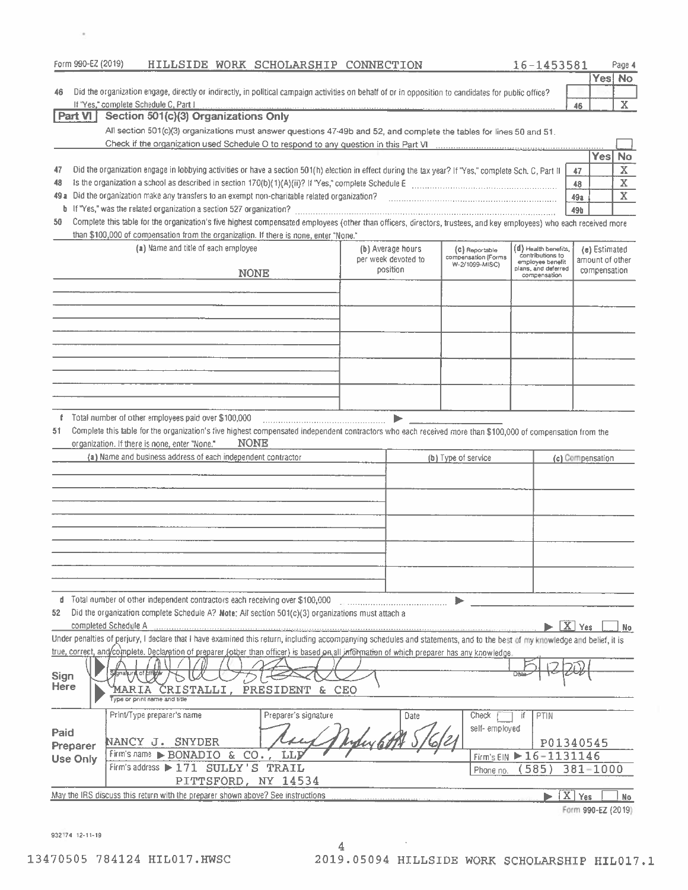| Form 990-EZ (2019)          |                      |                                                                               |             | HILLSIDE WORK SCHOLARSHIP CONNECTION                                                                                                                                       |                                          |      |                                                                                                                                                                                                                                | 16-1453581                               |                  |                                  | Page 4                  |
|-----------------------------|----------------------|-------------------------------------------------------------------------------|-------------|----------------------------------------------------------------------------------------------------------------------------------------------------------------------------|------------------------------------------|------|--------------------------------------------------------------------------------------------------------------------------------------------------------------------------------------------------------------------------------|------------------------------------------|------------------|----------------------------------|-------------------------|
|                             |                      |                                                                               |             |                                                                                                                                                                            |                                          |      |                                                                                                                                                                                                                                |                                          |                  |                                  | Yes No                  |
| 46                          |                      |                                                                               |             | Did the organization engage, directly or indirectly, in political campaign activities on behalf of or in opposition to candidates for public office?                       |                                          |      |                                                                                                                                                                                                                                |                                          |                  |                                  |                         |
| Part VI                     |                      | If "Yes," complete Schedule C, Part I<br>Section 501(c)(3) Organizations Only |             |                                                                                                                                                                            |                                          |      |                                                                                                                                                                                                                                |                                          | 46               |                                  | $\mathbf{X}$            |
|                             |                      |                                                                               |             | All section 501(c)(3) organizations must answer questions 47-49b and 52, and complete the tables for lines 50 and 51.                                                      |                                          |      |                                                                                                                                                                                                                                |                                          |                  |                                  |                         |
|                             |                      |                                                                               |             |                                                                                                                                                                            |                                          |      |                                                                                                                                                                                                                                |                                          |                  |                                  |                         |
|                             |                      |                                                                               |             |                                                                                                                                                                            |                                          |      |                                                                                                                                                                                                                                |                                          |                  | <b>Yes</b>                       | <b>No</b>               |
| 47                          |                      |                                                                               |             | Did the organization engage in lobbying activities or have a section 501(h) election in effect during the tax year? If "Yes," complete Sch. C, Part II                     |                                          |      |                                                                                                                                                                                                                                |                                          | 47               |                                  | $\bar{\mathbf{X}}$      |
| 48                          |                      |                                                                               |             |                                                                                                                                                                            |                                          |      |                                                                                                                                                                                                                                |                                          | 48               |                                  | $\overline{\mathbf{x}}$ |
| 49 a                        |                      |                                                                               |             |                                                                                                                                                                            |                                          |      |                                                                                                                                                                                                                                |                                          | 49a              |                                  | $\mathbf X$             |
|                             |                      |                                                                               |             |                                                                                                                                                                            |                                          |      |                                                                                                                                                                                                                                |                                          | <b>49b</b>       |                                  |                         |
| 50                          |                      |                                                                               |             | Complete this table for the organization's five highest compensated employees (other than officers, directors, trustees, and key employees) who each received more         |                                          |      |                                                                                                                                                                                                                                |                                          |                  |                                  |                         |
|                             |                      |                                                                               |             | than \$100,000 of compensation from the organization. If there is none, enter "None."                                                                                      |                                          |      |                                                                                                                                                                                                                                |                                          |                  |                                  |                         |
|                             |                      | (a) Name and title of each employee                                           |             |                                                                                                                                                                            | (b) Average hours<br>per week devoted to |      | (C) Reportable<br>compensation (Forms                                                                                                                                                                                          | (d) Health benefits,<br>contributions to |                  | (e) Estimated<br>amount of other |                         |
|                             |                      |                                                                               | <b>NONE</b> |                                                                                                                                                                            | position                                 |      | W-2/1099-MISC)                                                                                                                                                                                                                 | employee benefit<br>plans, and deferred  |                  | compensation                     |                         |
|                             |                      |                                                                               |             |                                                                                                                                                                            |                                          |      |                                                                                                                                                                                                                                | compensation                             |                  |                                  |                         |
|                             |                      |                                                                               |             |                                                                                                                                                                            |                                          |      |                                                                                                                                                                                                                                |                                          |                  |                                  |                         |
|                             |                      |                                                                               |             |                                                                                                                                                                            |                                          |      |                                                                                                                                                                                                                                |                                          |                  |                                  |                         |
|                             |                      |                                                                               |             |                                                                                                                                                                            |                                          |      |                                                                                                                                                                                                                                |                                          |                  |                                  |                         |
|                             |                      |                                                                               |             |                                                                                                                                                                            |                                          |      |                                                                                                                                                                                                                                |                                          |                  |                                  |                         |
|                             |                      |                                                                               |             |                                                                                                                                                                            |                                          |      |                                                                                                                                                                                                                                |                                          |                  |                                  |                         |
|                             |                      |                                                                               |             |                                                                                                                                                                            |                                          |      |                                                                                                                                                                                                                                |                                          |                  |                                  |                         |
|                             |                      |                                                                               |             |                                                                                                                                                                            |                                          |      |                                                                                                                                                                                                                                |                                          |                  |                                  |                         |
|                             |                      |                                                                               |             |                                                                                                                                                                            |                                          |      |                                                                                                                                                                                                                                |                                          |                  |                                  |                         |
|                             |                      |                                                                               |             |                                                                                                                                                                            |                                          |      |                                                                                                                                                                                                                                |                                          |                  |                                  |                         |
| 51                          |                      | f Total number of other employees paid over \$100,000                         |             | Complete this table for the organization's five highest compensated independent contractors who each received more than \$100,000 of compensation from the                 |                                          | ь    |                                                                                                                                                                                                                                |                                          |                  |                                  |                         |
|                             |                      | organization. If there is none, enter "None."                                 | <b>NONE</b> |                                                                                                                                                                            |                                          |      |                                                                                                                                                                                                                                |                                          |                  |                                  |                         |
|                             |                      | (a) Name and business address of each independent contractor                  |             |                                                                                                                                                                            |                                          |      | (b) Type of service                                                                                                                                                                                                            |                                          |                  | (c) Compensation                 |                         |
|                             |                      |                                                                               |             |                                                                                                                                                                            |                                          |      |                                                                                                                                                                                                                                |                                          |                  |                                  |                         |
|                             |                      |                                                                               |             |                                                                                                                                                                            |                                          |      |                                                                                                                                                                                                                                |                                          |                  |                                  |                         |
|                             |                      |                                                                               |             |                                                                                                                                                                            |                                          |      |                                                                                                                                                                                                                                |                                          |                  |                                  |                         |
|                             |                      |                                                                               |             |                                                                                                                                                                            |                                          |      |                                                                                                                                                                                                                                |                                          |                  |                                  |                         |
|                             |                      |                                                                               |             |                                                                                                                                                                            |                                          |      |                                                                                                                                                                                                                                |                                          |                  |                                  |                         |
|                             |                      |                                                                               |             |                                                                                                                                                                            |                                          |      |                                                                                                                                                                                                                                |                                          |                  |                                  |                         |
|                             |                      |                                                                               |             |                                                                                                                                                                            |                                          |      |                                                                                                                                                                                                                                |                                          |                  |                                  |                         |
|                             |                      |                                                                               |             |                                                                                                                                                                            |                                          |      |                                                                                                                                                                                                                                |                                          |                  |                                  |                         |
|                             |                      |                                                                               |             |                                                                                                                                                                            |                                          |      |                                                                                                                                                                                                                                |                                          |                  |                                  |                         |
|                             |                      |                                                                               |             | d Total number of other independent contractors each receiving over \$100,000                                                                                              |                                          |      |                                                                                                                                                                                                                                |                                          |                  |                                  |                         |
| 52                          |                      |                                                                               |             | Did the organization complete Schedule A? Note: All section 501(c)(3) organizations must attach a                                                                          |                                          |      |                                                                                                                                                                                                                                |                                          |                  |                                  |                         |
|                             | completed Schedule A |                                                                               |             |                                                                                                                                                                            |                                          |      | advanced and the company of the company of the company of the company of the company of the company of the company of the company of the company of the company of the company of the company of the company of the company of |                                          | $X$ Yes          |                                  | No                      |
|                             |                      |                                                                               |             | Under penalties of perjury, I declare that I have examined this return, including accompanying schedules and statements, and to the best of my knowledge and belief, it is |                                          |      |                                                                                                                                                                                                                                |                                          |                  |                                  |                         |
|                             |                      |                                                                               |             | true, correct, and/complete. Declaration of preparer (other than officer) is based on all information of which preparer has any knowledge.                                 |                                          |      |                                                                                                                                                                                                                                |                                          |                  |                                  |                         |
|                             | Signalury of bifty   |                                                                               |             |                                                                                                                                                                            |                                          |      |                                                                                                                                                                                                                                |                                          |                  |                                  |                         |
| Sign<br>Here                |                      | MARIA CRISTALLI, PRESIDENT                                                    |             |                                                                                                                                                                            |                                          |      |                                                                                                                                                                                                                                |                                          |                  |                                  |                         |
|                             |                      | Type or print name and title                                                  |             | & CEO                                                                                                                                                                      |                                          |      |                                                                                                                                                                                                                                |                                          |                  |                                  |                         |
|                             |                      | Print/Type preparer's name                                                    |             | Preparer's signature                                                                                                                                                       |                                          | Date | Check                                                                                                                                                                                                                          | if<br>PTIN                               |                  |                                  |                         |
|                             |                      |                                                                               |             |                                                                                                                                                                            |                                          |      | self-employed                                                                                                                                                                                                                  |                                          |                  |                                  |                         |
| Paid                        |                      | NANCY J. SNYDER                                                               |             |                                                                                                                                                                            |                                          |      |                                                                                                                                                                                                                                | P01340545                                |                  |                                  |                         |
| Preparer<br><b>Use Only</b> |                      | Firm's name BONADIO &                                                         |             | $CO.$ ;<br>LLI                                                                                                                                                             |                                          |      |                                                                                                                                                                                                                                | Firm's EIN ▶ 16-1131146                  |                  |                                  |                         |
|                             |                      | Firm's address > 171 SULLY'S TRAIL                                            |             |                                                                                                                                                                            |                                          |      | Phone no.                                                                                                                                                                                                                      | 585                                      |                  | 381-1000                         |                         |
|                             |                      |                                                                               |             | PITTSFORD, NY 14534                                                                                                                                                        |                                          |      |                                                                                                                                                                                                                                |                                          |                  |                                  |                         |
|                             |                      |                                                                               |             | May the IRS discuss this return with the preparer shown above? See instructions                                                                                            |                                          |      |                                                                                                                                                                                                                                |                                          | $\mathbf{X}$ Yes |                                  | No                      |
|                             |                      |                                                                               |             |                                                                                                                                                                            |                                          |      |                                                                                                                                                                                                                                |                                          |                  | Form 990-EZ (2019)               |                         |

932174 12-11-19

 $\alpha$ 

 $\overline{4}$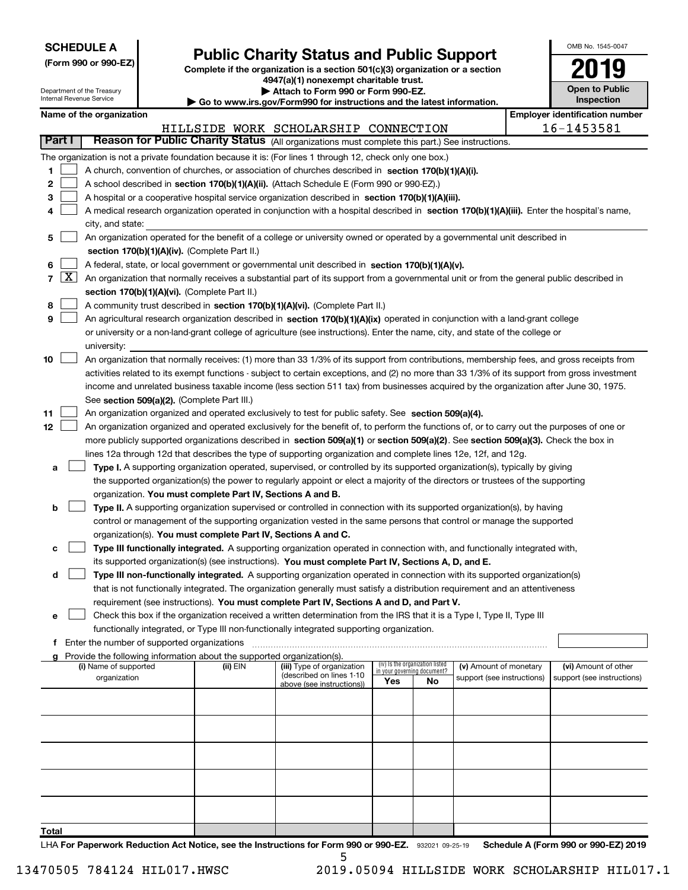| <b>SCHEDULE A</b> |  |
|-------------------|--|
|-------------------|--|

(Form 990 or 990-EZ) Complete if the organization is a section 501(c)(3) organization or a section Public Charity Status and Public Support<br>
omplete if the organization is a section 501(c)(3) organization or a section<br>  $4947(a)(1)$  nonexempt charitable trust.

| OMB No. 1545-0047     |
|-----------------------|
|                       |
| <b>Open to Public</b> |

٦

| Department of the Treasury<br>Internal Revenue Service |                     |                                                                                                                                            |                                             |                                                                                    |                                                                                                                                               | Attach to Form 990 or Form 990-EZ.<br>Go to www.irs.gov/Form990 for instructions and the latest information. |                                   |                            |  |                                       | <b>Open to Public</b> |
|--------------------------------------------------------|---------------------|--------------------------------------------------------------------------------------------------------------------------------------------|---------------------------------------------|------------------------------------------------------------------------------------|-----------------------------------------------------------------------------------------------------------------------------------------------|--------------------------------------------------------------------------------------------------------------|-----------------------------------|----------------------------|--|---------------------------------------|-----------------------|
|                                                        |                     | Name of the organization                                                                                                                   |                                             |                                                                                    |                                                                                                                                               |                                                                                                              |                                   |                            |  | <b>Employer identification number</b> |                       |
|                                                        |                     |                                                                                                                                            |                                             |                                                                                    | HILLSIDE WORK SCHOLARSHIP CONNECTION                                                                                                          |                                                                                                              |                                   |                            |  | 16-1453581                            |                       |
| <b>Part I</b>                                          |                     |                                                                                                                                            |                                             |                                                                                    | Reason for Public Charity Status (All organizations must complete this part.) See instructions.                                               |                                                                                                              |                                   |                            |  |                                       |                       |
|                                                        |                     |                                                                                                                                            |                                             |                                                                                    | The organization is not a private foundation because it is: (For lines 1 through 12, check only one box.)                                     |                                                                                                              |                                   |                            |  |                                       |                       |
| 1                                                      |                     |                                                                                                                                            |                                             |                                                                                    | A church, convention of churches, or association of churches described in section 170(b)(1)(A)(i).                                            |                                                                                                              |                                   |                            |  |                                       |                       |
| 2                                                      |                     |                                                                                                                                            |                                             |                                                                                    | A school described in section 170(b)(1)(A)(ii). (Attach Schedule E (Form 990 or 990-EZ).)                                                     |                                                                                                              |                                   |                            |  |                                       |                       |
| з                                                      |                     |                                                                                                                                            |                                             |                                                                                    | A hospital or a cooperative hospital service organization described in section 170(b)(1)(A)(iii).                                             |                                                                                                              |                                   |                            |  |                                       |                       |
| 4                                                      |                     | A medical research organization operated in conjunction with a hospital described in section 170(b)(1)(A)(iii). Enter the hospital's name, |                                             |                                                                                    |                                                                                                                                               |                                                                                                              |                                   |                            |  |                                       |                       |
|                                                        |                     | city, and state:                                                                                                                           |                                             |                                                                                    |                                                                                                                                               |                                                                                                              |                                   |                            |  |                                       |                       |
| 5                                                      |                     | An organization operated for the benefit of a college or university owned or operated by a governmental unit described in                  |                                             |                                                                                    |                                                                                                                                               |                                                                                                              |                                   |                            |  |                                       |                       |
|                                                        |                     |                                                                                                                                            |                                             | section 170(b)(1)(A)(iv). (Complete Part II.)                                      |                                                                                                                                               |                                                                                                              |                                   |                            |  |                                       |                       |
| 6                                                      |                     |                                                                                                                                            |                                             |                                                                                    | A federal, state, or local government or governmental unit described in section 170(b)(1)(A)(v).                                              |                                                                                                              |                                   |                            |  |                                       |                       |
| $\overline{7}$                                         | $\lfloor x \rfloor$ |                                                                                                                                            |                                             |                                                                                    | An organization that normally receives a substantial part of its support from a governmental unit or from the general public described in     |                                                                                                              |                                   |                            |  |                                       |                       |
|                                                        |                     |                                                                                                                                            |                                             | section 170(b)(1)(A)(vi). (Complete Part II.)                                      |                                                                                                                                               |                                                                                                              |                                   |                            |  |                                       |                       |
| 8                                                      |                     |                                                                                                                                            |                                             |                                                                                    | A community trust described in section 170(b)(1)(A)(vi). (Complete Part II.)                                                                  |                                                                                                              |                                   |                            |  |                                       |                       |
| 9                                                      |                     |                                                                                                                                            |                                             |                                                                                    | An agricultural research organization described in section 170(b)(1)(A)(ix) operated in conjunction with a land-grant college                 |                                                                                                              |                                   |                            |  |                                       |                       |
|                                                        |                     |                                                                                                                                            |                                             |                                                                                    | or university or a non-land-grant college of agriculture (see instructions). Enter the name, city, and state of the college or                |                                                                                                              |                                   |                            |  |                                       |                       |
|                                                        |                     | university:                                                                                                                                |                                             |                                                                                    |                                                                                                                                               |                                                                                                              |                                   |                            |  |                                       |                       |
| 10                                                     |                     |                                                                                                                                            |                                             |                                                                                    | An organization that normally receives: (1) more than 33 1/3% of its support from contributions, membership fees, and gross receipts from     |                                                                                                              |                                   |                            |  |                                       |                       |
|                                                        |                     |                                                                                                                                            |                                             |                                                                                    | activities related to its exempt functions - subject to certain exceptions, and (2) no more than 33 1/3% of its support from gross investment |                                                                                                              |                                   |                            |  |                                       |                       |
|                                                        |                     |                                                                                                                                            |                                             |                                                                                    | income and unrelated business taxable income (less section 511 tax) from businesses acquired by the organization after June 30, 1975.         |                                                                                                              |                                   |                            |  |                                       |                       |
|                                                        |                     |                                                                                                                                            |                                             | See section 509(a)(2). (Complete Part III.)                                        |                                                                                                                                               |                                                                                                              |                                   |                            |  |                                       |                       |
| 11                                                     |                     |                                                                                                                                            |                                             |                                                                                    | An organization organized and operated exclusively to test for public safety. See section 509(a)(4).                                          |                                                                                                              |                                   |                            |  |                                       |                       |
| 12                                                     |                     |                                                                                                                                            |                                             |                                                                                    | An organization organized and operated exclusively for the benefit of, to perform the functions of, or to carry out the purposes of one or    |                                                                                                              |                                   |                            |  |                                       |                       |
|                                                        |                     |                                                                                                                                            |                                             |                                                                                    | more publicly supported organizations described in section 509(a)(1) or section 509(a)(2). See section 509(a)(3). Check the box in            |                                                                                                              |                                   |                            |  |                                       |                       |
|                                                        |                     |                                                                                                                                            |                                             |                                                                                    | lines 12a through 12d that describes the type of supporting organization and complete lines 12e, 12f, and 12g.                                |                                                                                                              |                                   |                            |  |                                       |                       |
| а                                                      |                     |                                                                                                                                            |                                             |                                                                                    | Type I. A supporting organization operated, supervised, or controlled by its supported organization(s), typically by giving                   |                                                                                                              |                                   |                            |  |                                       |                       |
|                                                        |                     |                                                                                                                                            |                                             |                                                                                    | the supported organization(s) the power to regularly appoint or elect a majority of the directors or trustees of the supporting               |                                                                                                              |                                   |                            |  |                                       |                       |
|                                                        |                     |                                                                                                                                            |                                             | organization. You must complete Part IV, Sections A and B.                         |                                                                                                                                               |                                                                                                              |                                   |                            |  |                                       |                       |
| b                                                      |                     |                                                                                                                                            |                                             |                                                                                    | Type II. A supporting organization supervised or controlled in connection with its supported organization(s), by having                       |                                                                                                              |                                   |                            |  |                                       |                       |
|                                                        |                     |                                                                                                                                            |                                             |                                                                                    | control or management of the supporting organization vested in the same persons that control or manage the supported                          |                                                                                                              |                                   |                            |  |                                       |                       |
|                                                        |                     |                                                                                                                                            |                                             | organization(s). You must complete Part IV, Sections A and C.                      |                                                                                                                                               |                                                                                                              |                                   |                            |  |                                       |                       |
| с                                                      |                     |                                                                                                                                            |                                             |                                                                                    | Type III functionally integrated. A supporting organization operated in connection with, and functionally integrated with,                    |                                                                                                              |                                   |                            |  |                                       |                       |
|                                                        |                     |                                                                                                                                            |                                             |                                                                                    | its supported organization(s) (see instructions). You must complete Part IV, Sections A, D, and E.                                            |                                                                                                              |                                   |                            |  |                                       |                       |
| d                                                      |                     |                                                                                                                                            |                                             |                                                                                    | Type III non-functionally integrated. A supporting organization operated in connection with its supported organization(s)                     |                                                                                                              |                                   |                            |  |                                       |                       |
|                                                        |                     |                                                                                                                                            |                                             |                                                                                    | that is not functionally integrated. The organization generally must satisfy a distribution requirement and an attentiveness                  |                                                                                                              |                                   |                            |  |                                       |                       |
|                                                        |                     |                                                                                                                                            |                                             |                                                                                    | requirement (see instructions). You must complete Part IV, Sections A and D, and Part V.                                                      |                                                                                                              |                                   |                            |  |                                       |                       |
| e                                                      |                     |                                                                                                                                            |                                             |                                                                                    | Check this box if the organization received a written determination from the IRS that it is a Type I, Type II, Type III                       |                                                                                                              |                                   |                            |  |                                       |                       |
|                                                        |                     |                                                                                                                                            |                                             |                                                                                    | functionally integrated, or Type III non-functionally integrated supporting organization.                                                     |                                                                                                              |                                   |                            |  |                                       |                       |
| f.                                                     |                     |                                                                                                                                            | Enter the number of supported organizations |                                                                                    |                                                                                                                                               |                                                                                                              |                                   |                            |  |                                       |                       |
|                                                        |                     | (i) Name of supported                                                                                                                      |                                             | Provide the following information about the supported organization(s).<br>(ii) EIN | (iii) Type of organization                                                                                                                    |                                                                                                              | (iv) Is the organization listed   | (v) Amount of monetary     |  | (vi) Amount of other                  |                       |
|                                                        |                     | organization                                                                                                                               |                                             |                                                                                    | (described on lines 1-10                                                                                                                      | Yes                                                                                                          | in your governing document?<br>No | support (see instructions) |  | support (see instructions)            |                       |
|                                                        |                     |                                                                                                                                            |                                             |                                                                                    | above (see instructions))                                                                                                                     |                                                                                                              |                                   |                            |  |                                       |                       |
|                                                        |                     |                                                                                                                                            |                                             |                                                                                    |                                                                                                                                               |                                                                                                              |                                   |                            |  |                                       |                       |
|                                                        |                     |                                                                                                                                            |                                             |                                                                                    |                                                                                                                                               |                                                                                                              |                                   |                            |  |                                       |                       |
|                                                        |                     |                                                                                                                                            |                                             |                                                                                    |                                                                                                                                               |                                                                                                              |                                   |                            |  |                                       |                       |
|                                                        |                     |                                                                                                                                            |                                             |                                                                                    |                                                                                                                                               |                                                                                                              |                                   |                            |  |                                       |                       |
|                                                        |                     |                                                                                                                                            |                                             |                                                                                    |                                                                                                                                               |                                                                                                              |                                   |                            |  |                                       |                       |
|                                                        |                     |                                                                                                                                            |                                             |                                                                                    |                                                                                                                                               |                                                                                                              |                                   |                            |  |                                       |                       |
|                                                        |                     |                                                                                                                                            |                                             |                                                                                    |                                                                                                                                               |                                                                                                              |                                   |                            |  |                                       |                       |
|                                                        |                     |                                                                                                                                            |                                             |                                                                                    |                                                                                                                                               |                                                                                                              |                                   |                            |  |                                       |                       |
|                                                        |                     |                                                                                                                                            |                                             |                                                                                    |                                                                                                                                               |                                                                                                              |                                   |                            |  |                                       |                       |
| Total                                                  |                     |                                                                                                                                            |                                             |                                                                                    |                                                                                                                                               |                                                                                                              |                                   |                            |  |                                       |                       |

LHA For Paperwork Reduction Act Notice, see the Instructions for Form 990 or 990-EZ. 932021 09-25-19 Schedule A (Form 990 or 990-EZ) 2019 5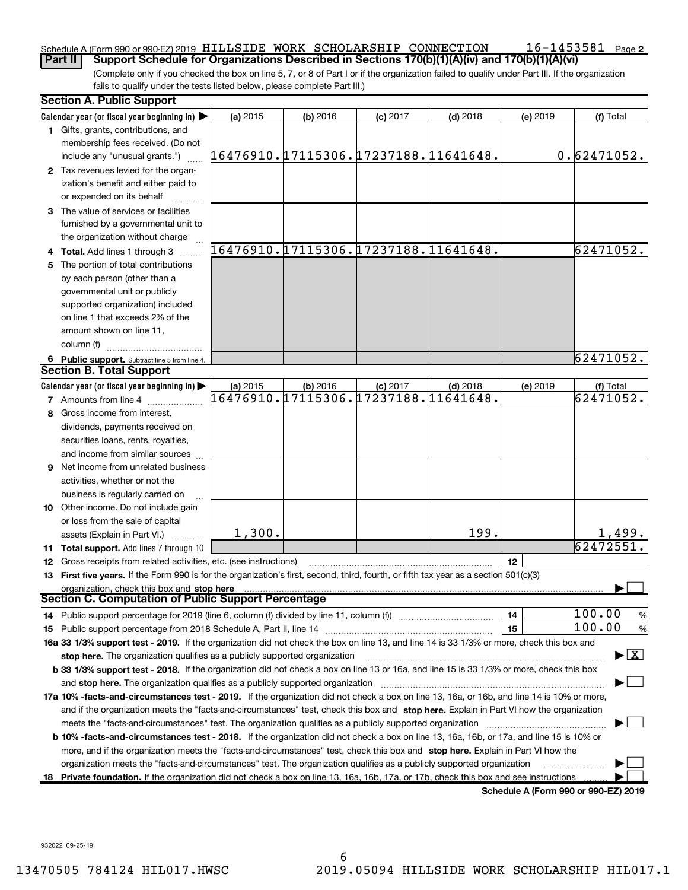### $16 - 1453581$  Page 2 Schedule A (Form 990 or 990-EZ) 2019 HILLSIDE WORK SCHOLARSHIP CONNECTION  $16$ -1453581  $_{\sf Page}$

(Complete only if you checked the box on line 5, 7, or 8 of Part I or if the organization failed to qualify under Part III. If the organization fails to qualify under the tests listed below, please complete Part III.) Part II | Support Schedule for Organizations Described in Sections 170(b)(1)(A)(iv) and 170(b)(1)(A)(vi)

|   | <b>Section A. Public Support</b>                                                                                                           |                                      |            |                                      |            |          |                                      |
|---|--------------------------------------------------------------------------------------------------------------------------------------------|--------------------------------------|------------|--------------------------------------|------------|----------|--------------------------------------|
|   | Calendar year (or fiscal year beginning in) $\blacktriangleright$                                                                          | (a) 2015                             | (b) 2016   | $(c)$ 2017                           | $(d)$ 2018 | (e) 2019 | (f) Total                            |
|   | 1 Gifts, grants, contributions, and                                                                                                        |                                      |            |                                      |            |          |                                      |
|   | membership fees received. (Do not                                                                                                          |                                      |            |                                      |            |          |                                      |
|   | include any "unusual grants.")                                                                                                             | 16476910.17115306.17237188.11641648. |            |                                      |            |          | 0.62471052.                          |
|   | 2 Tax revenues levied for the organ-                                                                                                       |                                      |            |                                      |            |          |                                      |
|   | ization's benefit and either paid to                                                                                                       |                                      |            |                                      |            |          |                                      |
|   | or expended on its behalf                                                                                                                  |                                      |            |                                      |            |          |                                      |
|   | 3 The value of services or facilities                                                                                                      |                                      |            |                                      |            |          |                                      |
|   | furnished by a governmental unit to                                                                                                        |                                      |            |                                      |            |          |                                      |
|   | the organization without charge                                                                                                            |                                      |            |                                      |            |          |                                      |
|   | 4 Total. Add lines 1 through 3                                                                                                             |                                      |            | 16476910.17115306.17237188.11641648. |            |          | 62471052.                            |
|   | The portion of total contributions                                                                                                         |                                      |            |                                      |            |          |                                      |
|   | by each person (other than a                                                                                                               |                                      |            |                                      |            |          |                                      |
|   | governmental unit or publicly                                                                                                              |                                      |            |                                      |            |          |                                      |
|   | supported organization) included                                                                                                           |                                      |            |                                      |            |          |                                      |
|   | on line 1 that exceeds 2% of the                                                                                                           |                                      |            |                                      |            |          |                                      |
|   | amount shown on line 11.                                                                                                                   |                                      |            |                                      |            |          |                                      |
|   | column (f)                                                                                                                                 |                                      |            |                                      |            |          |                                      |
|   | 6 Public support. Subtract line 5 from line 4.                                                                                             |                                      |            |                                      |            |          | 62471052.                            |
|   | <b>Section B. Total Support</b>                                                                                                            |                                      |            |                                      |            |          |                                      |
|   | Calendar year (or fiscal year beginning in)                                                                                                | (a) 2015                             | $(b)$ 2016 | $(c)$ 2017                           | $(d)$ 2018 | (e) 2019 | (f) Total                            |
|   | <b>7</b> Amounts from line 4                                                                                                               | 16476910.17115306.17237188.11641648. |            |                                      |            |          | 62471052.                            |
| 8 | Gross income from interest,                                                                                                                |                                      |            |                                      |            |          |                                      |
|   | dividends, payments received on                                                                                                            |                                      |            |                                      |            |          |                                      |
|   | securities loans, rents, royalties,                                                                                                        |                                      |            |                                      |            |          |                                      |
|   | and income from similar sources                                                                                                            |                                      |            |                                      |            |          |                                      |
| 9 | Net income from unrelated business                                                                                                         |                                      |            |                                      |            |          |                                      |
|   | activities, whether or not the                                                                                                             |                                      |            |                                      |            |          |                                      |
|   |                                                                                                                                            |                                      |            |                                      |            |          |                                      |
|   | business is regularly carried on<br>10 Other income. Do not include gain                                                                   |                                      |            |                                      |            |          |                                      |
|   |                                                                                                                                            |                                      |            |                                      |            |          |                                      |
|   | or loss from the sale of capital                                                                                                           | 1,300.                               |            |                                      | 199.       |          | <u>1,499.</u>                        |
|   | assets (Explain in Part VI.)                                                                                                               |                                      |            |                                      |            |          | 62472551                             |
|   | 11 Total support. Add lines 7 through 10                                                                                                   |                                      |            |                                      |            |          |                                      |
|   | 12 Gross receipts from related activities, etc. (see instructions)                                                                         |                                      |            |                                      |            | 12       |                                      |
|   | 13 First five years. If the Form 990 is for the organization's first, second, third, fourth, or fifth tax year as a section 501(c)(3)      |                                      |            |                                      |            |          |                                      |
|   | organization, check this box and stop here<br><b>Section C. Computation of Public Support Percentage</b>                                   |                                      |            |                                      |            |          |                                      |
|   |                                                                                                                                            |                                      |            |                                      |            | 14       | 100.00<br>%                          |
|   |                                                                                                                                            |                                      |            |                                      |            | 15       | 100.00<br>$\%$                       |
|   | 16a 33 1/3% support test - 2019. If the organization did not check the box on line 13, and line 14 is 33 1/3% or more, check this box and  |                                      |            |                                      |            |          |                                      |
|   | stop here. The organization qualifies as a publicly supported organization                                                                 |                                      |            |                                      |            |          | $\blacktriangleright$ $\mid$ X       |
|   | b 33 1/3% support test - 2018. If the organization did not check a box on line 13 or 16a, and line 15 is 33 1/3% or more, check this box   |                                      |            |                                      |            |          |                                      |
|   |                                                                                                                                            |                                      |            |                                      |            |          |                                      |
|   | and stop here. The organization qualifies as a publicly supported organization                                                             |                                      |            |                                      |            |          |                                      |
|   | 17a 10% -facts-and-circumstances test - 2019. If the organization did not check a box on line 13, 16a, or 16b, and line 14 is 10% or more, |                                      |            |                                      |            |          |                                      |
|   | and if the organization meets the "facts-and-circumstances" test, check this box and stop here. Explain in Part VI how the organization    |                                      |            |                                      |            |          |                                      |
|   | meets the "facts-and-circumstances" test. The organization qualifies as a publicly supported organization                                  |                                      |            |                                      |            |          |                                      |
|   | b 10% -facts-and-circumstances test - 2018. If the organization did not check a box on line 13, 16a, 16b, or 17a, and line 15 is 10% or    |                                      |            |                                      |            |          |                                      |
|   | more, and if the organization meets the "facts-and-circumstances" test, check this box and stop here. Explain in Part VI how the           |                                      |            |                                      |            |          |                                      |
|   | organization meets the "facts-and-circumstances" test. The organization qualifies as a publicly supported organization                     |                                      |            |                                      |            |          |                                      |
|   | 18 Private foundation. If the organization did not check a box on line 13, 16a, 16b, 17a, or 17b, check this box and see instructions      |                                      |            |                                      |            |          |                                      |
|   |                                                                                                                                            |                                      |            |                                      |            |          | Schedule A (Form 990 or 990-EZ) 2019 |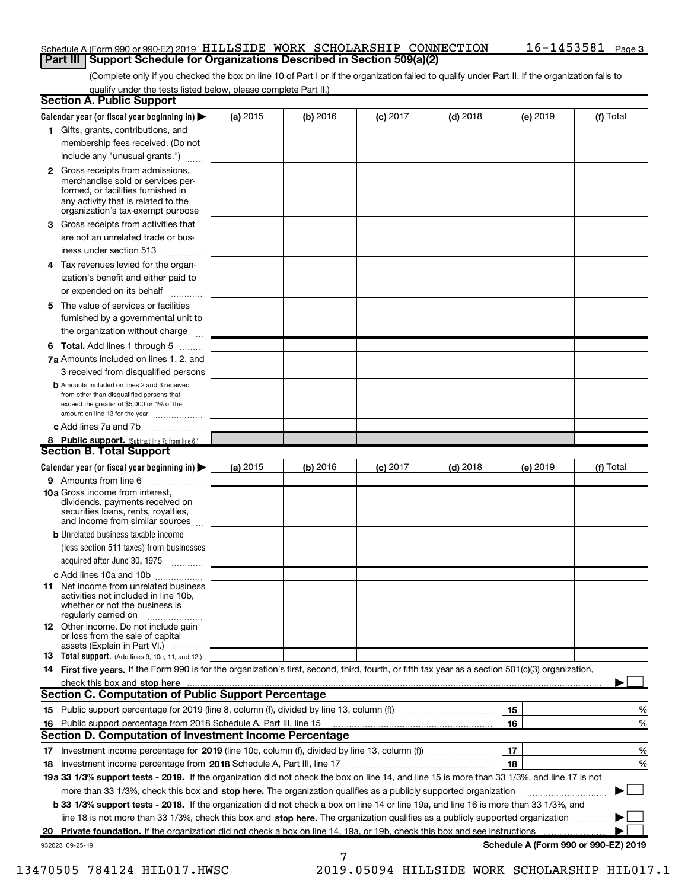## Schedule A (Form 990 or 990-EZ) 2019 HILLSIDE WORK SCHOLARSHIP CONNECTION  $16$ -1453581  $_{\sf Page}$ **Part III | Support Schedule for Organizations Described in Section 509(a)(2)**

(Complete only if you checked the box on line 10 of Part I or if the organization failed to qualify under Part II. If the organization fails to qualify under the tests listed below, please complete Part II.)

|    | <b>Section A. Public Support</b>                                                                                                                                                                |            |            |            |            |          |                                      |
|----|-------------------------------------------------------------------------------------------------------------------------------------------------------------------------------------------------|------------|------------|------------|------------|----------|--------------------------------------|
|    | Calendar year (or fiscal year beginning in) $\blacktriangleright$                                                                                                                               | (a) 2015   | (b) 2016   | $(c)$ 2017 | $(d)$ 2018 | (e) 2019 | (f) Total                            |
|    | 1 Gifts, grants, contributions, and                                                                                                                                                             |            |            |            |            |          |                                      |
|    | membership fees received. (Do not                                                                                                                                                               |            |            |            |            |          |                                      |
|    | include any "unusual grants.")                                                                                                                                                                  |            |            |            |            |          |                                      |
|    | <b>2</b> Gross receipts from admissions,<br>merchandise sold or services per-<br>formed, or facilities furnished in<br>any activity that is related to the<br>organization's tax-exempt purpose |            |            |            |            |          |                                      |
| 3. | Gross receipts from activities that                                                                                                                                                             |            |            |            |            |          |                                      |
|    | are not an unrelated trade or bus-                                                                                                                                                              |            |            |            |            |          |                                      |
|    | iness under section 513                                                                                                                                                                         |            |            |            |            |          |                                      |
|    | 4 Tax revenues levied for the organ-                                                                                                                                                            |            |            |            |            |          |                                      |
|    | ization's benefit and either paid to                                                                                                                                                            |            |            |            |            |          |                                      |
|    | or expended on its behalf<br>.                                                                                                                                                                  |            |            |            |            |          |                                      |
|    | 5 The value of services or facilities                                                                                                                                                           |            |            |            |            |          |                                      |
|    | furnished by a governmental unit to                                                                                                                                                             |            |            |            |            |          |                                      |
|    | the organization without charge                                                                                                                                                                 |            |            |            |            |          |                                      |
|    | <b>6 Total.</b> Add lines 1 through 5                                                                                                                                                           |            |            |            |            |          |                                      |
|    | .<br>7a Amounts included on lines 1, 2, and                                                                                                                                                     |            |            |            |            |          |                                      |
|    | 3 received from disqualified persons                                                                                                                                                            |            |            |            |            |          |                                      |
|    | <b>b</b> Amounts included on lines 2 and 3 received<br>from other than disqualified persons that<br>exceed the greater of \$5,000 or 1% of the<br>amount on line 13 for the year                |            |            |            |            |          |                                      |
|    | c Add lines 7a and 7b                                                                                                                                                                           |            |            |            |            |          |                                      |
|    | 8 Public support. (Subtract line 7c from line 6.)                                                                                                                                               |            |            |            |            |          |                                      |
|    | <b>Section B. Total Support</b>                                                                                                                                                                 |            |            |            |            |          |                                      |
|    | Calendar year (or fiscal year beginning in)                                                                                                                                                     | (a) $2015$ | $(b)$ 2016 | $(c)$ 2017 | $(d)$ 2018 | (e) 2019 | (f) Total                            |
|    | <b>9</b> Amounts from line 6                                                                                                                                                                    |            |            |            |            |          |                                      |
|    | 10a Gross income from interest,<br>dividends, payments received on<br>securities loans, rents, royalties,<br>and income from similar sources                                                    |            |            |            |            |          |                                      |
|    | <b>b</b> Unrelated business taxable income<br>(less section 511 taxes) from businesses<br>acquired after June 30, 1975                                                                          |            |            |            |            |          |                                      |
|    | c Add lines 10a and 10b                                                                                                                                                                         |            |            |            |            |          |                                      |
|    | <b>11</b> Net income from unrelated business<br>activities not included in line 10b,<br>whether or not the business is<br>regularly carried on                                                  |            |            |            |            |          |                                      |
|    | <b>12</b> Other income. Do not include gain<br>or loss from the sale of capital<br>assets (Explain in Part VI.)                                                                                 |            |            |            |            |          |                                      |
|    | <b>13</b> Total support. (Add lines 9, 10c, 11, and 12.)                                                                                                                                        |            |            |            |            |          |                                      |
|    | 14 First five years. If the Form 990 is for the organization's first, second, third, fourth, or fifth tax year as a section 501(c)(3) organization,                                             |            |            |            |            |          |                                      |
|    | check this box and stop here                                                                                                                                                                    |            |            |            |            |          |                                      |
|    | <b>Section C. Computation of Public Support Percentage</b>                                                                                                                                      |            |            |            |            |          |                                      |
|    | 15 Public support percentage for 2019 (line 8, column (f), divided by line 13, column (f))                                                                                                      |            |            |            |            | 15       | %                                    |
|    | 16 Public support percentage from 2018 Schedule A, Part III, line 15                                                                                                                            |            |            |            |            | 16       | %                                    |
|    | <b>Section D. Computation of Investment Income Percentage</b>                                                                                                                                   |            |            |            |            |          |                                      |
|    |                                                                                                                                                                                                 |            |            |            |            | 17       | %                                    |
|    | 18 Investment income percentage from 2018 Schedule A, Part III, line 17                                                                                                                         |            |            |            |            | 18       | %                                    |
|    | 19a 33 1/3% support tests - 2019. If the organization did not check the box on line 14, and line 15 is more than 33 1/3%, and line 17 is not                                                    |            |            |            |            |          |                                      |
|    | more than 33 1/3%, check this box and stop here. The organization qualifies as a publicly supported organization                                                                                |            |            |            |            |          |                                      |
|    | b 33 1/3% support tests - 2018. If the organization did not check a box on line 14 or line 19a, and line 16 is more than 33 1/3%, and                                                           |            |            |            |            |          |                                      |
|    | line 18 is not more than 33 1/3%, check this box and stop here. The organization qualifies as a publicly supported organization                                                                 |            |            |            |            |          |                                      |
| 20 | Private foundation. If the organization did not check a box on line 14, 19a, or 19b, check this box and see instructions                                                                        |            |            |            |            |          |                                      |
|    | 932023 09-25-19                                                                                                                                                                                 |            |            |            |            |          | Schedule A (Form 990 or 990-EZ) 2019 |
|    |                                                                                                                                                                                                 |            | 7          |            |            |          |                                      |

13470505 784124 HIL017.HWSC 2019.05094 HILLSIDE WORK SCHOLARSHIP HIL017.1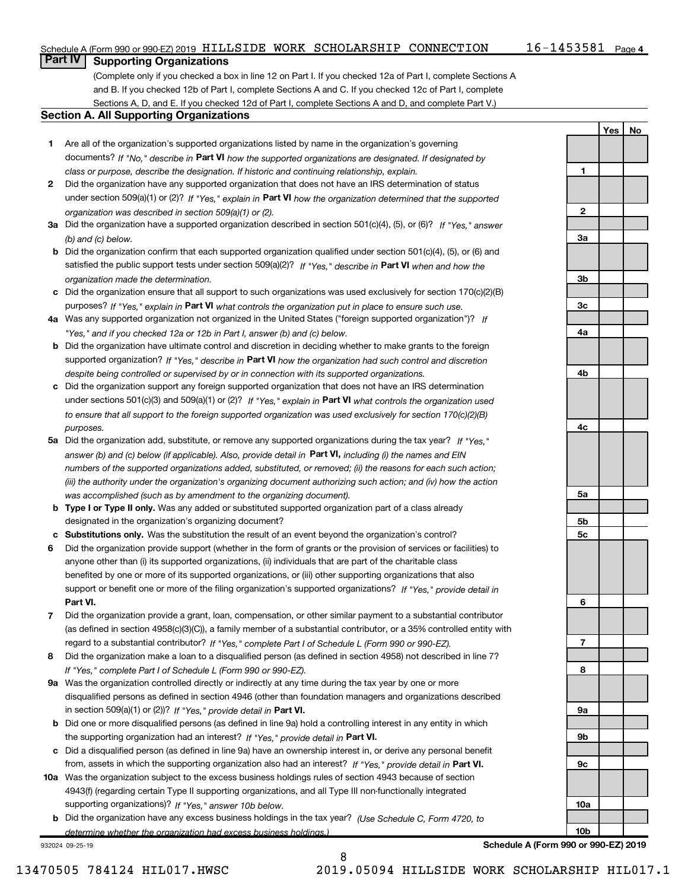Yes | No

# **Part IV | Supporting Organizations**

(Complete only if you checked a box in line 12 on Part I. If you checked 12a of Part I, complete Sections A and B. If you checked 12b of Part I, complete Sections A and C. If you checked 12c of Part I, complete Sections A, D, and E. If you checked 12d of Part I, complete Sections A and D, and complete Part V.)

## Section A. All Supporting Organizations

- 1 Are all of the organization's supported organizations listed by name in the organization's governing documents? If "No," describe in Part VI how the supported organizations are designated. If designated by class or purpose, describe the designation. If historic and continuing relationship, explain.
- 2 Did the organization have any supported organization that does not have an IRS determination of status under section 509(a)(1) or (2)? If "Yes," explain in Part VI how the organization determined that the supported organization was described in section 509(a)(1) or (2).
- 3a Did the organization have a supported organization described in section 501(c)(4), (5), or (6)? If "Yes," answer (b) and (c) below.
- b Did the organization confirm that each supported organization qualified under section 501(c)(4), (5), or (6) and satisfied the public support tests under section 509(a)(2)? If "Yes," describe in Part VI when and how the organization made the determination.
- c Did the organization ensure that all support to such organizations was used exclusively for section 170(c)(2)(B) purposes? If "Yes," explain in Part VI what controls the organization put in place to ensure such use.
- 4a Was any supported organization not organized in the United States ("foreign supported organization")? If "Yes," and if you checked 12a or 12b in Part I, answer (b) and (c) below.
- **b** Did the organization have ultimate control and discretion in deciding whether to make grants to the foreign supported organization? If "Yes," describe in Part VI how the organization had such control and discretion despite being controlled or supervised by or in connection with its supported organizations.
- c Did the organization support any foreign supported organization that does not have an IRS determination under sections 501(c)(3) and 509(a)(1) or (2)? If "Yes," explain in Part VI what controls the organization used to ensure that all support to the foreign supported organization was used exclusively for section 170(c)(2)(B) purposes.
- 5a Did the organization add, substitute, or remove any supported organizations during the tax year? If "Yes," answer (b) and (c) below (if applicable). Also, provide detail in Part VI, including (i) the names and EIN numbers of the supported organizations added, substituted, or removed; (ii) the reasons for each such action; (iii) the authority under the organization's organizing document authorizing such action; and (iv) how the action was accomplished (such as by amendment to the organizing document).
- **b** Type I or Type II only. Was any added or substituted supported organization part of a class already designated in the organization's organizing document?
- c Substitutions only. Was the substitution the result of an event beyond the organization's control?
- 6 Did the organization provide support (whether in the form of grants or the provision of services or facilities) to Part VI. support or benefit one or more of the filing organization's supported organizations? If "Yes," provide detail in anyone other than (i) its supported organizations, (ii) individuals that are part of the charitable class benefited by one or more of its supported organizations, or (iii) other supporting organizations that also
- 7 Did the organization provide a grant, loan, compensation, or other similar payment to a substantial contributor regard to a substantial contributor? If "Yes," complete Part I of Schedule L (Form 990 or 990-EZ). (as defined in section 4958(c)(3)(C)), a family member of a substantial contributor, or a 35% controlled entity with
- 8 Did the organization make a loan to a disqualified person (as defined in section 4958) not described in line 7? If "Yes," complete Part I of Schedule L (Form 990 or 990-EZ).
- **9a** Was the organization controlled directly or indirectly at any time during the tax year by one or more in section 509(a)(1) or (2))? If "Yes," provide detail in Part VI. disqualified persons as defined in section 4946 (other than foundation managers and organizations described
- b Did one or more disqualified persons (as defined in line 9a) hold a controlling interest in any entity in which the supporting organization had an interest? If "Yes," provide detail in Part VI.
- c Did a disqualified person (as defined in line 9a) have an ownership interest in, or derive any personal benefit from, assets in which the supporting organization also had an interest? If "Yes," provide detail in Part VI.
- 10a Was the organization subject to the excess business holdings rules of section 4943 because of section supporting organizations)? If "Yes," answer 10b below. 4943(f) (regarding certain Type II supporting organizations, and all Type III non-functionally integrated
- **b** Did the organization have any excess business holdings in the tax year? (Use Schedule C, Form 4720, to determine whether the organization had excess business holdings.)

932024 09-25-19



Schedule A (Form 990 or 990-EZ) 2019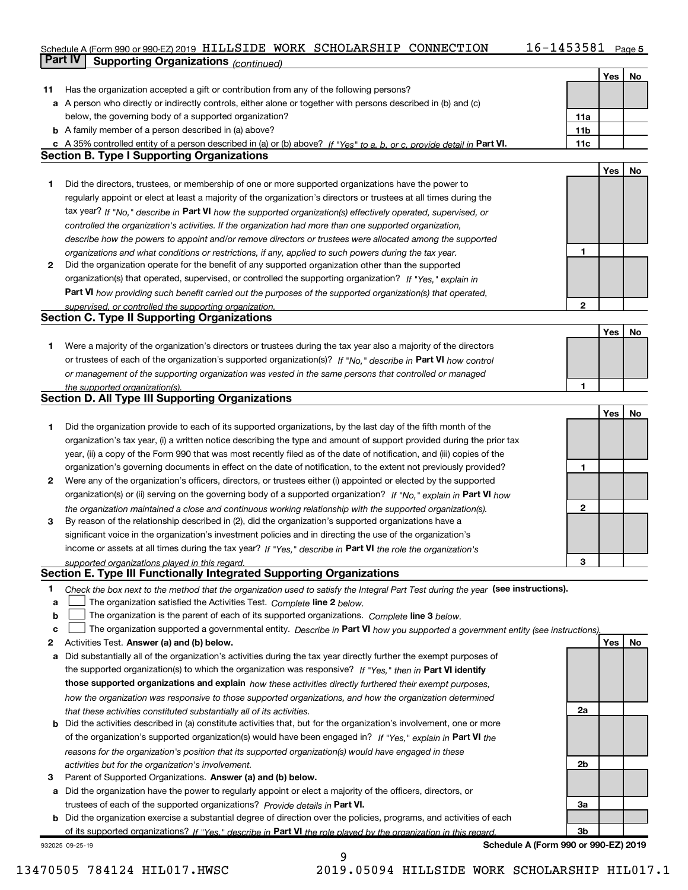## Schedule A (Form 990 or 990-EZ) 2019 <code>HILLSIDE WORK SCHOLARSHIP CONNECTION</code> 16-1453581 <code>Page</code> **Part IV | Supporting Organizations** (continued)

|    |                                                                                                                                                                                               |                 | Yes | <b>No</b> |
|----|-----------------------------------------------------------------------------------------------------------------------------------------------------------------------------------------------|-----------------|-----|-----------|
| 11 | Has the organization accepted a gift or contribution from any of the following persons?                                                                                                       |                 |     |           |
|    | a A person who directly or indirectly controls, either alone or together with persons described in (b) and (c)                                                                                |                 |     |           |
|    | below, the governing body of a supported organization?                                                                                                                                        | 11a             |     |           |
|    | <b>b</b> A family member of a person described in (a) above?                                                                                                                                  | 11 <sub>b</sub> |     |           |
|    | c A 35% controlled entity of a person described in (a) or (b) above? If "Yes" to a, b, or c, provide detail in Part VI.                                                                       | 11c             |     |           |
|    | <b>Section B. Type I Supporting Organizations</b>                                                                                                                                             |                 |     |           |
|    |                                                                                                                                                                                               |                 | Yes | No        |
| 1  | Did the directors, trustees, or membership of one or more supported organizations have the power to                                                                                           |                 |     |           |
|    | regularly appoint or elect at least a majority of the organization's directors or trustees at all times during the                                                                            |                 |     |           |
|    | tax year? If "No," describe in Part VI how the supported organization(s) effectively operated, supervised, or                                                                                 |                 |     |           |
|    | controlled the organization's activities. If the organization had more than one supported organization,                                                                                       |                 |     |           |
|    | describe how the powers to appoint and/or remove directors or trustees were allocated among the supported                                                                                     |                 |     |           |
|    | organizations and what conditions or restrictions, if any, applied to such powers during the tax year.                                                                                        | 1               |     |           |
| 2  | Did the organization operate for the benefit of any supported organization other than the supported                                                                                           |                 |     |           |
|    | organization(s) that operated, supervised, or controlled the supporting organization? If "Yes." explain in                                                                                    |                 |     |           |
|    | Part VI how providing such benefit carried out the purposes of the supported organization(s) that operated,                                                                                   |                 |     |           |
|    | supervised, or controlled the supporting organization.                                                                                                                                        | $\mathbf{2}$    |     |           |
|    | <b>Section C. Type II Supporting Organizations</b>                                                                                                                                            |                 |     |           |
|    |                                                                                                                                                                                               |                 | Yes | No        |
| 1. | Were a majority of the organization's directors or trustees during the tax year also a majority of the directors                                                                              |                 |     |           |
|    | or trustees of each of the organization's supported organization(s)? If "No." describe in Part VI how control                                                                                 |                 |     |           |
|    | or management of the supporting organization was vested in the same persons that controlled or managed                                                                                        |                 |     |           |
|    | the supported organization(s).                                                                                                                                                                | 1               |     |           |
|    | <b>Section D. All Type III Supporting Organizations</b>                                                                                                                                       |                 |     |           |
|    |                                                                                                                                                                                               |                 | Yes | No        |
| 1  | Did the organization provide to each of its supported organizations, by the last day of the fifth month of the                                                                                |                 |     |           |
|    | organization's tax year, (i) a written notice describing the type and amount of support provided during the prior tax                                                                         |                 |     |           |
|    | year, (ii) a copy of the Form 990 that was most recently filed as of the date of notification, and (iii) copies of the                                                                        |                 |     |           |
|    | organization's governing documents in effect on the date of notification, to the extent not previously provided?                                                                              | 1               |     |           |
| 2  | Were any of the organization's officers, directors, or trustees either (i) appointed or elected by the supported                                                                              |                 |     |           |
|    | organization(s) or (ii) serving on the governing body of a supported organization? If "No," explain in Part VI how                                                                            |                 |     |           |
|    | the organization maintained a close and continuous working relationship with the supported organization(s).                                                                                   | 2               |     |           |
| 3  | By reason of the relationship described in (2), did the organization's supported organizations have a                                                                                         |                 |     |           |
|    | significant voice in the organization's investment policies and in directing the use of the organization's                                                                                    |                 |     |           |
|    | income or assets at all times during the tax year? If "Yes," describe in Part VI the role the organization's                                                                                  |                 |     |           |
|    | supported organizations played in this regard.                                                                                                                                                | 3               |     |           |
|    | Section E. Type III Functionally Integrated Supporting Organizations                                                                                                                          |                 |     |           |
| 1  | Check the box next to the method that the organization used to satisfy the Integral Part Test during the year (see instructions).                                                             |                 |     |           |
| a  | The organization satisfied the Activities Test. Complete line 2 below.                                                                                                                        |                 |     |           |
| b  | The organization is the parent of each of its supported organizations. Complete line 3 below.                                                                                                 |                 |     |           |
| c  | The organization supported a governmental entity. Describe in Part VI how you supported a government entity (see instructions).                                                               |                 |     |           |
| 2  | Activities Test. Answer (a) and (b) below.                                                                                                                                                    |                 | Yes | No        |
| а  | Did substantially all of the organization's activities during the tax year directly further the exempt purposes of                                                                            |                 |     |           |
|    | the supported organization(s) to which the organization was responsive? If "Yes," then in Part VI identify                                                                                    |                 |     |           |
|    | those supported organizations and explain how these activities directly furthered their exempt purposes,                                                                                      |                 |     |           |
|    | how the organization was responsive to those supported organizations, and how the organization determined                                                                                     | 2a              |     |           |
|    | that these activities constituted substantially all of its activities.<br>Did the activities described in (a) constitute activities that, but for the organization's involvement, one or more |                 |     |           |
| b  | of the organization's supported organization(s) would have been engaged in? If "Yes," explain in Part VI the                                                                                  |                 |     |           |
|    |                                                                                                                                                                                               |                 |     |           |
|    | reasons for the organization's position that its supported organization(s) would have engaged in these                                                                                        | 2b              |     |           |
| 3  | activities but for the organization's involvement.<br>Parent of Supported Organizations. Answer (a) and (b) below.                                                                            |                 |     |           |
| а  | Did the organization have the power to regularly appoint or elect a majority of the officers, directors, or                                                                                   |                 |     |           |
|    | trustees of each of the supported organizations? Provide details in Part VI.                                                                                                                  | За              |     |           |
| b  | Did the organization exercise a substantial degree of direction over the policies, programs, and activities of each                                                                           |                 |     |           |
|    | of its supported organizations? If "Yes." describe in Part VI the role played by the organization in this regard.                                                                             | 3b              |     |           |
|    |                                                                                                                                                                                               |                 |     |           |

932025 09-25-19

Schedule A (Form 990 or 990-EZ) 2019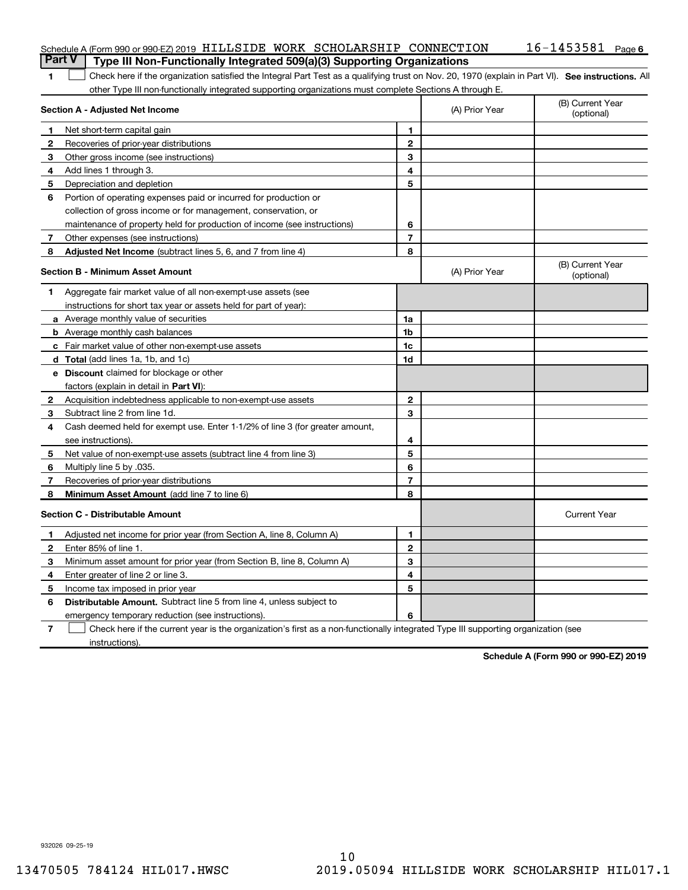|                | Schedule A (Form 990 or 990-EZ) 2019 HILLSIDE WORK SCHOLARSHIP CONNECTION                                                                          |                         |                | $16 - 1453581$ Page 6          |
|----------------|----------------------------------------------------------------------------------------------------------------------------------------------------|-------------------------|----------------|--------------------------------|
|                | <b>Part V</b><br>Type III Non-Functionally Integrated 509(a)(3) Supporting Organizations                                                           |                         |                |                                |
| 1              | Check here if the organization satisfied the Integral Part Test as a qualifying trust on Nov. 20, 1970 (explain in Part VI). See instructions. All |                         |                |                                |
|                | other Type III non-functionally integrated supporting organizations must complete Sections A through E.                                            |                         |                |                                |
|                | Section A - Adjusted Net Income                                                                                                                    |                         | (A) Prior Year | (B) Current Year<br>(optional) |
| -1             | Net short-term capital gain                                                                                                                        | 1                       |                |                                |
| $\mathbf{2}$   | Recoveries of prior-year distributions                                                                                                             | $\mathbf{2}$            |                |                                |
| 3              | Other gross income (see instructions)                                                                                                              | 3                       |                |                                |
| 4              | Add lines 1 through 3.                                                                                                                             | 4                       |                |                                |
| 5              | Depreciation and depletion                                                                                                                         | 5                       |                |                                |
| 6              | Portion of operating expenses paid or incurred for production or                                                                                   |                         |                |                                |
|                | collection of gross income or for management, conservation, or                                                                                     |                         |                |                                |
|                | maintenance of property held for production of income (see instructions)                                                                           | 6                       |                |                                |
| $\mathbf{7}$   | Other expenses (see instructions)                                                                                                                  | $\overline{\mathbf{r}}$ |                |                                |
| 8              | Adjusted Net Income (subtract lines 5, 6, and 7 from line 4)                                                                                       | 8                       |                |                                |
|                | <b>Section B - Minimum Asset Amount</b>                                                                                                            |                         | (A) Prior Year | (B) Current Year<br>(optional) |
| 1              | Aggregate fair market value of all non-exempt-use assets (see                                                                                      |                         |                |                                |
|                | instructions for short tax year or assets held for part of year):                                                                                  |                         |                |                                |
|                | a Average monthly value of securities                                                                                                              | 1a                      |                |                                |
|                | <b>b</b> Average monthly cash balances                                                                                                             | 1b                      |                |                                |
|                | c Fair market value of other non-exempt-use assets                                                                                                 | 1c                      |                |                                |
|                | d Total (add lines 1a, 1b, and 1c)                                                                                                                 | 1d                      |                |                                |
|                | <b>e</b> Discount claimed for blockage or other                                                                                                    |                         |                |                                |
|                | factors (explain in detail in Part VI):                                                                                                            |                         |                |                                |
| $\mathbf{2}$   | Acquisition indebtedness applicable to non-exempt-use assets                                                                                       | $\mathbf{2}$            |                |                                |
| 3              | Subtract line 2 from line 1d.                                                                                                                      | 3                       |                |                                |
| 4              | Cash deemed held for exempt use. Enter 1-1/2% of line 3 (for greater amount,                                                                       |                         |                |                                |
|                | see instructions).                                                                                                                                 | 4                       |                |                                |
| 5              | Net value of non-exempt-use assets (subtract line 4 from line 3)                                                                                   | 5                       |                |                                |
| 6              | Multiply line 5 by .035.                                                                                                                           | 6                       |                |                                |
| $\mathbf{7}$   | Recoveries of prior-year distributions                                                                                                             | 7                       |                |                                |
| 8              | Minimum Asset Amount (add line 7 to line 6)                                                                                                        | 8                       |                |                                |
|                | <b>Section C - Distributable Amount</b>                                                                                                            |                         |                | <b>Current Year</b>            |
| -1             | Adjusted net income for prior year (from Section A, line 8, Column A)                                                                              | 1                       |                |                                |
| 2              | Enter 85% of line 1.                                                                                                                               | 2                       |                |                                |
| 3              | Minimum asset amount for prior year (from Section B, line 8, Column A)                                                                             | 3                       |                |                                |
| 4              | Enter greater of line 2 or line 3.                                                                                                                 | 4                       |                |                                |
| 5              | Income tax imposed in prior year                                                                                                                   | 5                       |                |                                |
| 6              | Distributable Amount. Subtract line 5 from line 4, unless subject to                                                                               |                         |                |                                |
|                | emergency temporary reduction (see instructions).                                                                                                  | 6                       |                |                                |
| $\overline{7}$ | Check here if the current year is the organization's first as a non-functionally integrated Type III supporting organization (see                  |                         |                |                                |

instructions).

Schedule A (Form 990 or 990-EZ) 2019

932026 09-25-19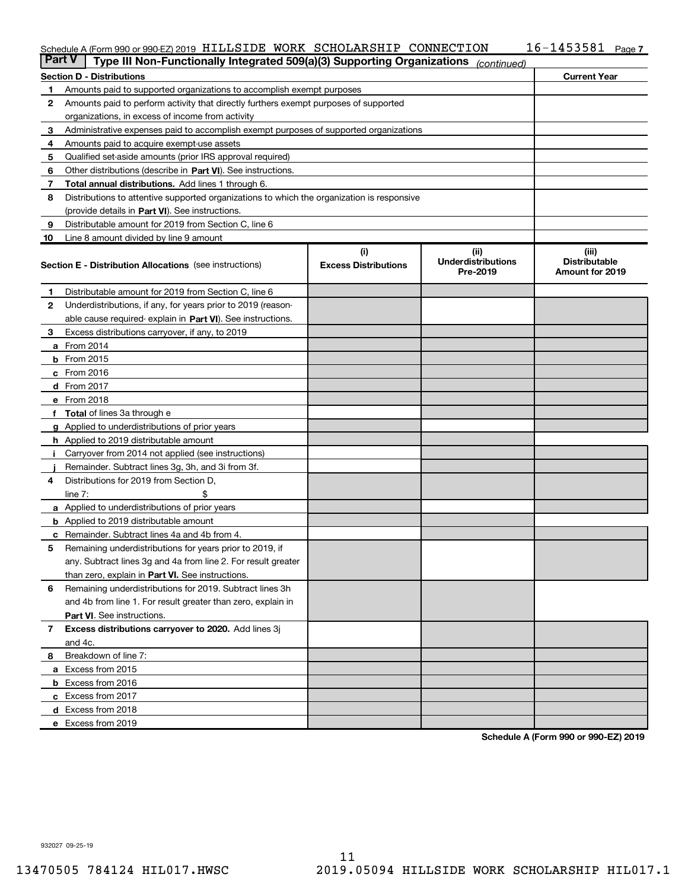## Schedule A (Form 990 or 990-EZ) 2019 <code>HILLSIDE WORK SCHOLARSHIP CONNECTION</code> 16-1453581 <code>Page</code>

| <b>Part V</b><br>Type III Non-Functionally Integrated 509(a)(3) Supporting Organizations<br>(continued) |                                                                                                                           |                                    |                                                |                                                  |  |  |
|---------------------------------------------------------------------------------------------------------|---------------------------------------------------------------------------------------------------------------------------|------------------------------------|------------------------------------------------|--------------------------------------------------|--|--|
|                                                                                                         | <b>Section D - Distributions</b>                                                                                          |                                    |                                                | <b>Current Year</b>                              |  |  |
| 1                                                                                                       | Amounts paid to supported organizations to accomplish exempt purposes                                                     |                                    |                                                |                                                  |  |  |
| 2                                                                                                       | Amounts paid to perform activity that directly furthers exempt purposes of supported                                      |                                    |                                                |                                                  |  |  |
|                                                                                                         | organizations, in excess of income from activity                                                                          |                                    |                                                |                                                  |  |  |
| 3                                                                                                       | Administrative expenses paid to accomplish exempt purposes of supported organizations                                     |                                    |                                                |                                                  |  |  |
| 4                                                                                                       | Amounts paid to acquire exempt-use assets                                                                                 |                                    |                                                |                                                  |  |  |
| 5                                                                                                       | Qualified set-aside amounts (prior IRS approval required)                                                                 |                                    |                                                |                                                  |  |  |
| 6                                                                                                       | Other distributions (describe in Part VI). See instructions.                                                              |                                    |                                                |                                                  |  |  |
| 7                                                                                                       | Total annual distributions. Add lines 1 through 6.                                                                        |                                    |                                                |                                                  |  |  |
| 8                                                                                                       | Distributions to attentive supported organizations to which the organization is responsive                                |                                    |                                                |                                                  |  |  |
|                                                                                                         | (provide details in Part VI). See instructions.                                                                           |                                    |                                                |                                                  |  |  |
| 9                                                                                                       | Distributable amount for 2019 from Section C, line 6                                                                      |                                    |                                                |                                                  |  |  |
| 10                                                                                                      | Line 8 amount divided by line 9 amount                                                                                    |                                    |                                                |                                                  |  |  |
|                                                                                                         | <b>Section E - Distribution Allocations</b> (see instructions)                                                            | (i)<br><b>Excess Distributions</b> | (iii)<br><b>Underdistributions</b><br>Pre-2019 | (iii)<br><b>Distributable</b><br>Amount for 2019 |  |  |
| 1                                                                                                       | Distributable amount for 2019 from Section C, line 6                                                                      |                                    |                                                |                                                  |  |  |
| 2                                                                                                       | Underdistributions, if any, for years prior to 2019 (reason-                                                              |                                    |                                                |                                                  |  |  |
|                                                                                                         | able cause required-explain in Part VI). See instructions.                                                                |                                    |                                                |                                                  |  |  |
| 3                                                                                                       | Excess distributions carryover, if any, to 2019                                                                           |                                    |                                                |                                                  |  |  |
|                                                                                                         | <b>a</b> From 2014                                                                                                        |                                    |                                                |                                                  |  |  |
|                                                                                                         | <b>b</b> From 2015                                                                                                        |                                    |                                                |                                                  |  |  |
|                                                                                                         | $c$ From 2016                                                                                                             |                                    |                                                |                                                  |  |  |
|                                                                                                         | $d$ From 2017                                                                                                             |                                    |                                                |                                                  |  |  |
|                                                                                                         | e From 2018                                                                                                               |                                    |                                                |                                                  |  |  |
|                                                                                                         | f Total of lines 3a through e                                                                                             |                                    |                                                |                                                  |  |  |
|                                                                                                         | g Applied to underdistributions of prior years                                                                            |                                    |                                                |                                                  |  |  |
|                                                                                                         | h Applied to 2019 distributable amount                                                                                    |                                    |                                                |                                                  |  |  |
| ÷,                                                                                                      | Carryover from 2014 not applied (see instructions)                                                                        |                                    |                                                |                                                  |  |  |
|                                                                                                         | Remainder. Subtract lines 3g, 3h, and 3i from 3f.                                                                         |                                    |                                                |                                                  |  |  |
| 4                                                                                                       | Distributions for 2019 from Section D,                                                                                    |                                    |                                                |                                                  |  |  |
|                                                                                                         | line $7:$                                                                                                                 |                                    |                                                |                                                  |  |  |
|                                                                                                         | <b>a</b> Applied to underdistributions of prior years                                                                     |                                    |                                                |                                                  |  |  |
|                                                                                                         | <b>b</b> Applied to 2019 distributable amount                                                                             |                                    |                                                |                                                  |  |  |
| c                                                                                                       | Remainder. Subtract lines 4a and 4b from 4.                                                                               |                                    |                                                |                                                  |  |  |
| 5                                                                                                       | Remaining underdistributions for years prior to 2019, if<br>any. Subtract lines 3g and 4a from line 2. For result greater |                                    |                                                |                                                  |  |  |
|                                                                                                         | than zero, explain in Part VI. See instructions.                                                                          |                                    |                                                |                                                  |  |  |
| 6                                                                                                       | Remaining underdistributions for 2019. Subtract lines 3h                                                                  |                                    |                                                |                                                  |  |  |
|                                                                                                         | and 4b from line 1. For result greater than zero, explain in                                                              |                                    |                                                |                                                  |  |  |
|                                                                                                         | Part VI. See instructions.                                                                                                |                                    |                                                |                                                  |  |  |
| 7                                                                                                       | Excess distributions carryover to 2020. Add lines 3j                                                                      |                                    |                                                |                                                  |  |  |
|                                                                                                         | and 4c.                                                                                                                   |                                    |                                                |                                                  |  |  |
| 8.                                                                                                      | Breakdown of line 7:                                                                                                      |                                    |                                                |                                                  |  |  |
|                                                                                                         | a Excess from 2015                                                                                                        |                                    |                                                |                                                  |  |  |
|                                                                                                         | <b>b</b> Excess from 2016                                                                                                 |                                    |                                                |                                                  |  |  |
|                                                                                                         | c Excess from 2017                                                                                                        |                                    |                                                |                                                  |  |  |
|                                                                                                         | d Excess from 2018                                                                                                        |                                    |                                                |                                                  |  |  |
|                                                                                                         | e Excess from 2019                                                                                                        |                                    |                                                |                                                  |  |  |

Schedule A (Form 990 or 990-EZ) 2019

932027 09-25-19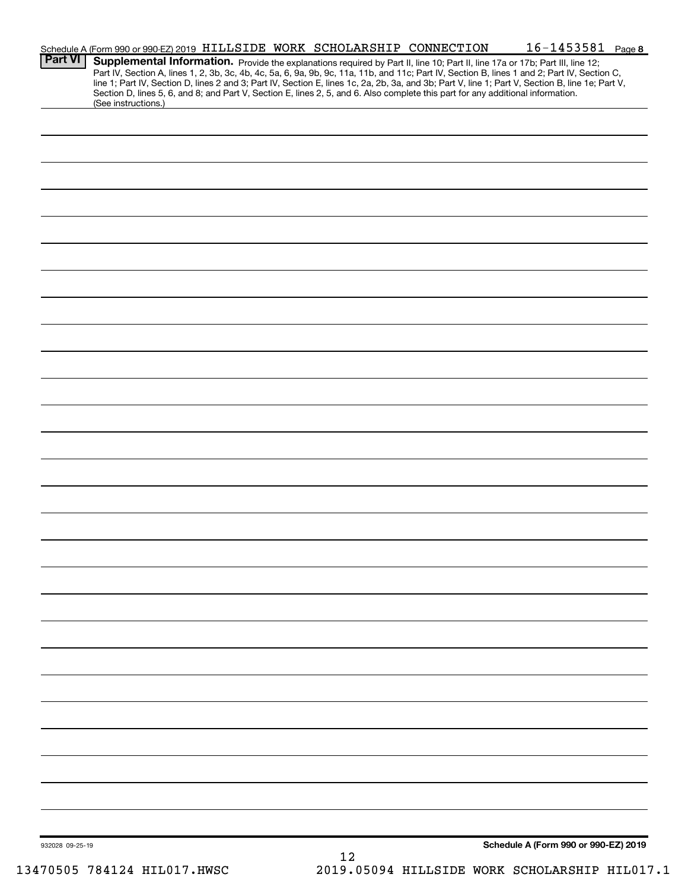|                 | Schedule A (Form 990 or 990-EZ) 2019 HILLSIDE WORK SCHOLARSHIP CONNECTION |    |                                                                                                                                 | $16 - 1453581$ Page 8                                                                                                                                                                                                                                                                            |
|-----------------|---------------------------------------------------------------------------|----|---------------------------------------------------------------------------------------------------------------------------------|--------------------------------------------------------------------------------------------------------------------------------------------------------------------------------------------------------------------------------------------------------------------------------------------------|
| <b>Part VI</b>  |                                                                           |    | Supplemental Information. Provide the explanations required by Part II, line 10; Part II, line 17a or 17b; Part III, line 12;   | Part IV, Section A, lines 1, 2, 3b, 3c, 4b, 4c, 5a, 6, 9a, 9b, 9c, 11a, 11b, and 11c; Part IV, Section B, lines 1 and 2; Part IV, Section C,<br>line 1; Part IV, Section D, lines 2 and 3; Part IV, Section E, lines 1c, 2a, 2b, 3a, and 3b; Part V, line 1; Part V, Section B, line 1e; Part V, |
|                 | (See instructions.)                                                       |    | Section D, lines 5, 6, and 8; and Part V, Section E, lines 2, 5, and 6. Also complete this part for any additional information. |                                                                                                                                                                                                                                                                                                  |
|                 |                                                                           |    |                                                                                                                                 |                                                                                                                                                                                                                                                                                                  |
|                 |                                                                           |    |                                                                                                                                 |                                                                                                                                                                                                                                                                                                  |
|                 |                                                                           |    |                                                                                                                                 |                                                                                                                                                                                                                                                                                                  |
|                 |                                                                           |    |                                                                                                                                 |                                                                                                                                                                                                                                                                                                  |
|                 |                                                                           |    |                                                                                                                                 |                                                                                                                                                                                                                                                                                                  |
|                 |                                                                           |    |                                                                                                                                 |                                                                                                                                                                                                                                                                                                  |
|                 |                                                                           |    |                                                                                                                                 |                                                                                                                                                                                                                                                                                                  |
|                 |                                                                           |    |                                                                                                                                 |                                                                                                                                                                                                                                                                                                  |
|                 |                                                                           |    |                                                                                                                                 |                                                                                                                                                                                                                                                                                                  |
|                 |                                                                           |    |                                                                                                                                 |                                                                                                                                                                                                                                                                                                  |
|                 |                                                                           |    |                                                                                                                                 |                                                                                                                                                                                                                                                                                                  |
|                 |                                                                           |    |                                                                                                                                 |                                                                                                                                                                                                                                                                                                  |
|                 |                                                                           |    |                                                                                                                                 |                                                                                                                                                                                                                                                                                                  |
|                 |                                                                           |    |                                                                                                                                 |                                                                                                                                                                                                                                                                                                  |
|                 |                                                                           |    |                                                                                                                                 |                                                                                                                                                                                                                                                                                                  |
|                 |                                                                           |    |                                                                                                                                 |                                                                                                                                                                                                                                                                                                  |
|                 |                                                                           |    |                                                                                                                                 |                                                                                                                                                                                                                                                                                                  |
|                 |                                                                           |    |                                                                                                                                 |                                                                                                                                                                                                                                                                                                  |
|                 |                                                                           |    |                                                                                                                                 |                                                                                                                                                                                                                                                                                                  |
|                 |                                                                           |    |                                                                                                                                 |                                                                                                                                                                                                                                                                                                  |
|                 |                                                                           |    |                                                                                                                                 |                                                                                                                                                                                                                                                                                                  |
|                 |                                                                           |    |                                                                                                                                 |                                                                                                                                                                                                                                                                                                  |
|                 |                                                                           |    |                                                                                                                                 |                                                                                                                                                                                                                                                                                                  |
|                 |                                                                           |    |                                                                                                                                 |                                                                                                                                                                                                                                                                                                  |
|                 |                                                                           |    |                                                                                                                                 |                                                                                                                                                                                                                                                                                                  |
|                 |                                                                           |    |                                                                                                                                 |                                                                                                                                                                                                                                                                                                  |
|                 |                                                                           |    |                                                                                                                                 |                                                                                                                                                                                                                                                                                                  |
|                 |                                                                           |    |                                                                                                                                 |                                                                                                                                                                                                                                                                                                  |
|                 |                                                                           |    |                                                                                                                                 |                                                                                                                                                                                                                                                                                                  |
|                 |                                                                           |    |                                                                                                                                 |                                                                                                                                                                                                                                                                                                  |
|                 |                                                                           |    |                                                                                                                                 |                                                                                                                                                                                                                                                                                                  |
|                 |                                                                           |    |                                                                                                                                 |                                                                                                                                                                                                                                                                                                  |
|                 |                                                                           |    |                                                                                                                                 |                                                                                                                                                                                                                                                                                                  |
|                 |                                                                           |    |                                                                                                                                 |                                                                                                                                                                                                                                                                                                  |
|                 |                                                                           |    |                                                                                                                                 |                                                                                                                                                                                                                                                                                                  |
|                 |                                                                           |    |                                                                                                                                 |                                                                                                                                                                                                                                                                                                  |
| 932028 09-25-19 |                                                                           | 12 |                                                                                                                                 | Schedule A (Form 990 or 990-EZ) 2019                                                                                                                                                                                                                                                             |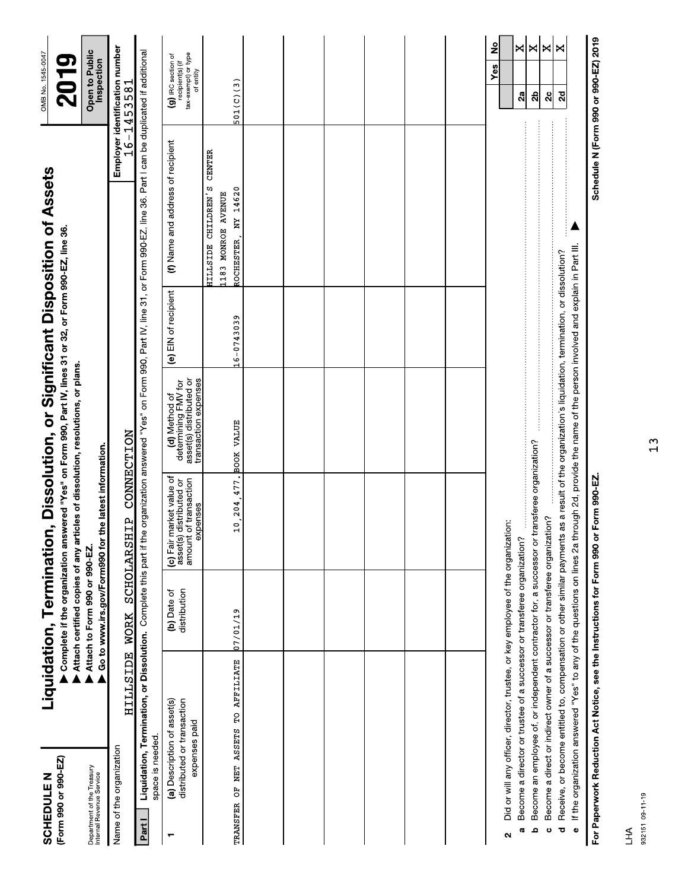| (Form 990 or 990-EZ)<br><b>SCHEDULE N</b>              |                                                                                                                                                                                                                                  | Liquidation, Termination      |                                                                                          | Complete if the organization answered "Yes" on Form 990, Part IV, lines 31 or 32, or Form 990-EZ, line 36.<br>Attach certified copies of any articles of dissolution, resolutions, or plans. |                      | , Dissolution, or Significant Disposition of Assets                                                                        |               | OMB No. 1545-0047<br>2019                                                  |  |
|--------------------------------------------------------|----------------------------------------------------------------------------------------------------------------------------------------------------------------------------------------------------------------------------------|-------------------------------|------------------------------------------------------------------------------------------|----------------------------------------------------------------------------------------------------------------------------------------------------------------------------------------------|----------------------|----------------------------------------------------------------------------------------------------------------------------|---------------|----------------------------------------------------------------------------|--|
| Department of the Treasury<br>Internal Revenue Service |                                                                                                                                                                                                                                  | Attach to Form 990 or 990-EZ. | Go to www.irs.gov/Form990 for the latest information.                                    |                                                                                                                                                                                              |                      |                                                                                                                            |               | Open to Public<br>Inspection                                               |  |
| Name of the organization                               | HILLSIDE WORK                                                                                                                                                                                                                    |                               | $\mathbf{r}$<br>SCHOLARSH                                                                | CONNECTION                                                                                                                                                                                   |                      |                                                                                                                            |               | Employer identification number<br>16-1453581                               |  |
| Partl                                                  | Liquidation, Termination, or Dissolution. Complete this part if the<br>space is needed.                                                                                                                                          |                               |                                                                                          |                                                                                                                                                                                              |                      | organization answered "Yes" on Form 990, Part IV, line 31, or Form 990-EZ, line 36. Part I can be duplicated if additional |               |                                                                            |  |
| ┯                                                      | (a) Description of asset(s)<br>distributed or transaction<br>expenses paid                                                                                                                                                       | distribution<br>(b) Date of   | (c) Fair market value of<br>amount of transaction<br>asset(s) distributed or<br>expenses | asset(s) distributed or<br>transaction expenses<br>determining FMV for<br>(d) Method of                                                                                                      | (e) EIN of recipient | (f) Name and address of recipient                                                                                          |               | tax-exempt) or type<br>(g) IRC section of<br>recipient(s) (if<br>of entity |  |
|                                                        | TRANSFER OF NET ASSETS TO AFFILIATE                                                                                                                                                                                              | 07/01/19                      | 10, 204, 477. BOOK VALUE                                                                 |                                                                                                                                                                                              | 16-0743039           | HILLSIDE CHILDREN'S<br>ROCHESTER, NY 14620<br>1183 MONROE AVENUE                                                           | <b>CENTER</b> | 501(C)(3)                                                                  |  |
|                                                        |                                                                                                                                                                                                                                  |                               |                                                                                          |                                                                                                                                                                                              |                      |                                                                                                                            |               |                                                                            |  |
|                                                        |                                                                                                                                                                                                                                  |                               |                                                                                          |                                                                                                                                                                                              |                      |                                                                                                                            |               |                                                                            |  |
|                                                        |                                                                                                                                                                                                                                  |                               |                                                                                          |                                                                                                                                                                                              |                      |                                                                                                                            |               |                                                                            |  |
|                                                        |                                                                                                                                                                                                                                  |                               |                                                                                          |                                                                                                                                                                                              |                      |                                                                                                                            |               |                                                                            |  |
|                                                        |                                                                                                                                                                                                                                  |                               |                                                                                          |                                                                                                                                                                                              |                      |                                                                                                                            |               |                                                                            |  |
|                                                        |                                                                                                                                                                                                                                  |                               |                                                                                          |                                                                                                                                                                                              |                      |                                                                                                                            |               |                                                                            |  |
| Ν                                                      | Did or will any officer, director, trustee, or key employee of the organization:                                                                                                                                                 |                               |                                                                                          |                                                                                                                                                                                              |                      |                                                                                                                            |               | å<br>Y <sub>es</sub>                                                       |  |
| م<br><b>G</b>                                          | Become an employee of, or independent contractor for, a successor or transferee organization?<br>Become a director or trustee of a successor or transferee organization?                                                         |                               |                                                                                          |                                                                                                                                                                                              |                      |                                                                                                                            |               | ×l×<br>2b<br>$\mathbf{a}$                                                  |  |
| $\ddot{\circ}$                                         | Become a direct or indirect owner of a successor or transferee organization?                                                                                                                                                     |                               |                                                                                          |                                                                                                                                                                                              |                      |                                                                                                                            |               | ×<br>$\mathbf{a}$                                                          |  |
| ಕ                                                      | Receive, or become entitled to, compensation or other similar payments as a result of the organization's liquidation, termination, or dissolution?<br>If the organization answered "Yes" to any of the questions on lines 2a thr |                               |                                                                                          | ough 2d, provide the name of the person involved and explain in Part III.                                                                                                                    |                      |                                                                                                                            |               | ×<br>2d                                                                    |  |
|                                                        | For Paperwork Reduction Act Notice, see the Instructions for Form 990 or                                                                                                                                                         |                               | Form 990-EZ.                                                                             |                                                                                                                                                                                              |                      |                                                                                                                            |               | Schedule N (Form 990 or 990-EZ) 2019                                       |  |

932151 09-11-19  $\begin{array}{c}\n\downarrow \\
\downarrow \\
\downarrow\n\end{array}$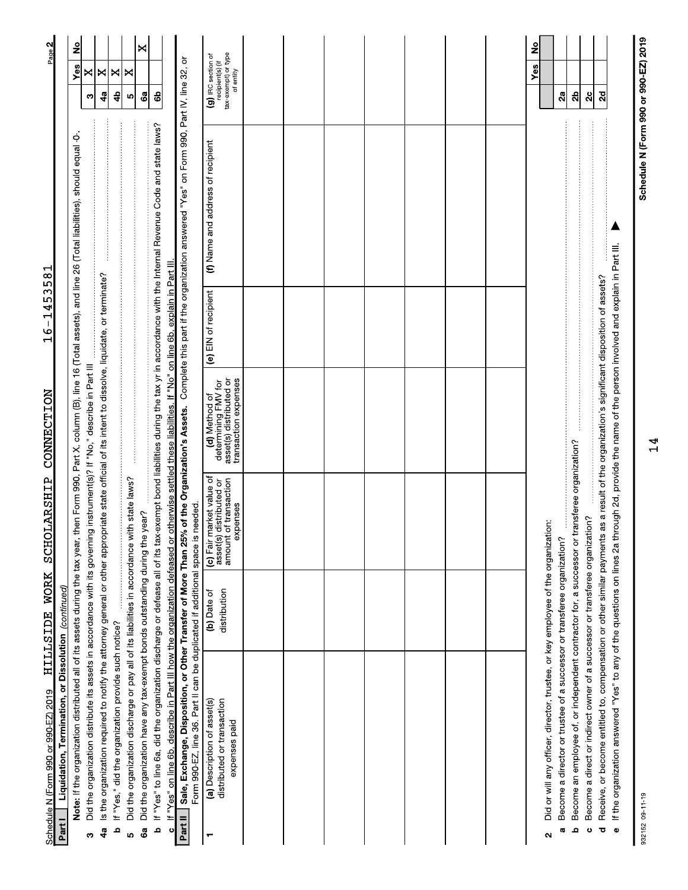| Schedule N (Form 990 or 990-EZ) 2019                                                                                                                                                                                                                                                                                                                       | <b>WORK</b><br><b>HILLSIDE</b> | <b>SCHOLARSHIP</b>                                                                             | CONNECTION                                                                              | Μ<br>١ω<br>4<br>$\overline{\phantom{a}}$<br>$\frac{9}{1}$ | ٣<br>$\infty$<br>Б                                                                                                                                                                 | Page 2                                                                     |
|------------------------------------------------------------------------------------------------------------------------------------------------------------------------------------------------------------------------------------------------------------------------------------------------------------------------------------------------------------|--------------------------------|------------------------------------------------------------------------------------------------|-----------------------------------------------------------------------------------------|-----------------------------------------------------------|------------------------------------------------------------------------------------------------------------------------------------------------------------------------------------|----------------------------------------------------------------------------|
| Note: If the organization distributed all of its assets during the tax year, then Form 990, Part X, column (B), line 16 (Total assets), and line 26 (Total liabilities), should equal -0-<br>Liquidation, Termination, or Dissolution (continued)<br>Part I                                                                                                |                                |                                                                                                |                                                                                         |                                                           |                                                                                                                                                                                    | <u>ខ</u><br>Yes                                                            |
| Did the organization distribute its assets in accordance with its governing instrument(s)? If "No," describe in Part III<br>ω                                                                                                                                                                                                                              |                                |                                                                                                |                                                                                         |                                                           |                                                                                                                                                                                    | ×<br>က                                                                     |
| Is the organization required to notify the attorney general or other appropriate state official of its intent to dissolve, liquidate, or terminate?<br>4a                                                                                                                                                                                                  |                                |                                                                                                |                                                                                         |                                                           |                                                                                                                                                                                    | ×<br>49                                                                    |
| If "Yes," did the organization provide such notice?<br>ء                                                                                                                                                                                                                                                                                                   |                                |                                                                                                |                                                                                         |                                                           |                                                                                                                                                                                    | ×<br>4                                                                     |
| Did the organization discharge or pay all of its liabilities in accordance with state laws?<br>ιņ                                                                                                                                                                                                                                                          |                                |                                                                                                |                                                                                         |                                                           |                                                                                                                                                                                    | ×<br>ю                                                                     |
| Did the organization have any tax-exempt bonds outstanding during the year?<br>ශී                                                                                                                                                                                                                                                                          |                                |                                                                                                |                                                                                         |                                                           |                                                                                                                                                                                    | ×<br>ශී                                                                    |
| If "Yes" to line 6a, did the organization discharge or defease all of its tax-exempt bond liabilities during the tax yr in accordance with the Internal Revenue Code and state laws?<br>If "Yes" on line 6b, describe in Part III how the organization defeased or otherwise settled these liabilities. If "No" on line 6b, explain in Part III.<br>م<br>ပ |                                |                                                                                                |                                                                                         |                                                           |                                                                                                                                                                                    | සි                                                                         |
| Part II                                                                                                                                                                                                                                                                                                                                                    |                                |                                                                                                |                                                                                         |                                                           | Sale, Exchange, Disposition, or Other Transfer of More Than 25% of the Organization's Assets. Complete this part if the organization answered "Yes" on Form 990, Part IV, line 32, | ਠੋ                                                                         |
| Form 990-EZ, line 36. Part II can be duplicated if additional space is needed.                                                                                                                                                                                                                                                                             |                                |                                                                                                |                                                                                         |                                                           |                                                                                                                                                                                    |                                                                            |
| distributed or transaction<br>(a) Description of asset(s)<br>expenses paid<br>┯                                                                                                                                                                                                                                                                            | distribution<br>(b) Date of    | (c) Fair market value of<br>of transaction<br>distributed or<br>expenses<br>amount<br>asset(s) | asset(s) distributed or<br>transaction expenses<br>determining FMV for<br>(d) Method of | (e) EIN of recipient                                      | (f) Name and address of recipient                                                                                                                                                  | tax-exempt) or type<br>(g) IRC section of<br>recipient(s) (if<br>of entity |
|                                                                                                                                                                                                                                                                                                                                                            |                                |                                                                                                |                                                                                         |                                                           |                                                                                                                                                                                    |                                                                            |
|                                                                                                                                                                                                                                                                                                                                                            |                                |                                                                                                |                                                                                         |                                                           |                                                                                                                                                                                    |                                                                            |
|                                                                                                                                                                                                                                                                                                                                                            |                                |                                                                                                |                                                                                         |                                                           |                                                                                                                                                                                    |                                                                            |
|                                                                                                                                                                                                                                                                                                                                                            |                                |                                                                                                |                                                                                         |                                                           |                                                                                                                                                                                    |                                                                            |
|                                                                                                                                                                                                                                                                                                                                                            |                                |                                                                                                |                                                                                         |                                                           |                                                                                                                                                                                    |                                                                            |
|                                                                                                                                                                                                                                                                                                                                                            |                                |                                                                                                |                                                                                         |                                                           |                                                                                                                                                                                    |                                                                            |
|                                                                                                                                                                                                                                                                                                                                                            |                                |                                                                                                |                                                                                         |                                                           |                                                                                                                                                                                    |                                                                            |
| Did or will any officer, director, trustee, or key employee of the organization:<br>Become a director or trustee of a successor or transferee organization?<br><b>G</b><br>Z                                                                                                                                                                               |                                |                                                                                                |                                                                                         |                                                           |                                                                                                                                                                                    | ş<br>Yes<br>2a                                                             |
| Become an employee of, or independent contractor for, a successor or transferee organization?<br>ء                                                                                                                                                                                                                                                         |                                |                                                                                                |                                                                                         |                                                           | $\ldots$                                                                                                                                                                           | $\mathbf{a}$                                                               |
| Become a direct or indirect owner of a successor or transferee organization?<br>$\ddot{\circ}$                                                                                                                                                                                                                                                             |                                |                                                                                                |                                                                                         |                                                           |                                                                                                                                                                                    | ನೆ                                                                         |
| If the organization answered "Yes" to any of the questions on lines 2a through 2d, provide the name of the person involved and explain in Part III.<br>Receive, or become entitled to, compensation or other similar payments<br>$\bullet$<br>ಕ                                                                                                            |                                |                                                                                                | as a result of the organization's significant disposition of assets?                    |                                                           |                                                                                                                                                                                    | $\overline{a}$                                                             |

932152 09-11-19

Schedule N (Form 990 or 990-EZ) 2019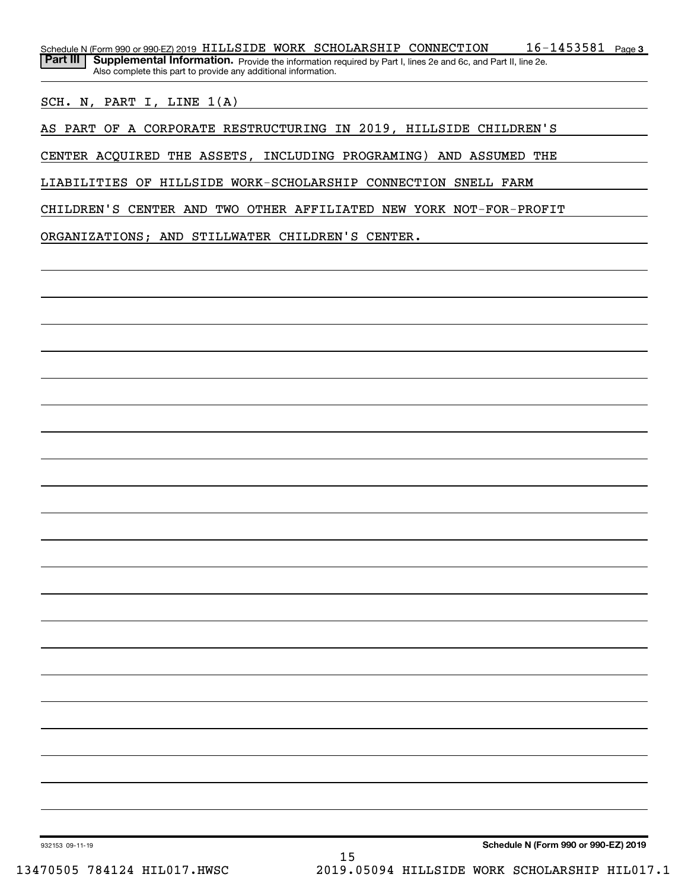SCH. N, PART I, LINE 1(A)

AS PART OF A CORPORATE RESTRUCTURING IN 2019, HILLSIDE CHILDREN'S

CENTER ACQUIRED THE ASSETS, INCLUDING PROGRAMING) AND ASSUMED THE

LIABILITIES OF HILLSIDE WORK-SCHOLARSHIP CONNECTION SNELL FARM

CHILDREN'S CENTER AND TWO OTHER AFFILIATED NEW YORK NOT-FOR-PROFIT

ORGANIZATIONS; AND STILLWATER CHILDREN'S CENTER.

Schedule N (Form 990 or 990-EZ) 2019

932153 09-11-19